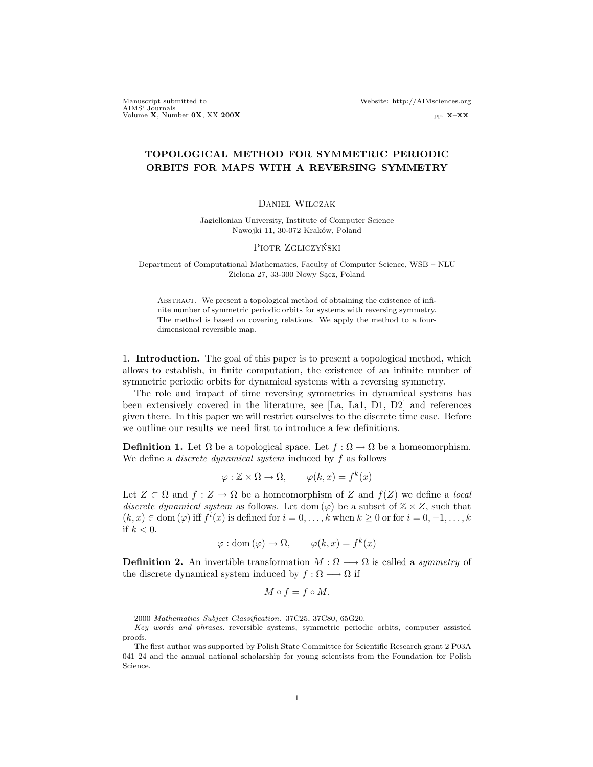Manuscript submitted to Website: http://AIMsciences.org AIMS' Journals<br>Volume X, Number 0X, XX 200X pp. X–XX pp. X–XX

# TOPOLOGICAL METHOD FOR SYMMETRIC PERIODIC ORBITS FOR MAPS WITH A REVERSING SYMMETRY

#### Daniel Wilczak

Jagiellonian University, Institute of Computer Science Nawojki 11, 30-072 Kraków, Poland

#### PIOTR ZGLICZYŃSKI

Department of Computational Mathematics, Faculty of Computer Science, WSB – NLU Zielona 27, 33-300 Nowy Sącz, Poland

ABSTRACT. We present a topological method of obtaining the existence of infinite number of symmetric periodic orbits for systems with reversing symmetry. The method is based on covering relations. We apply the method to a fourdimensional reversible map.

1. Introduction. The goal of this paper is to present a topological method, which allows to establish, in finite computation, the existence of an infinite number of symmetric periodic orbits for dynamical systems with a reversing symmetry.

The role and impact of time reversing symmetries in dynamical systems has been extensively covered in the literature, see [La, La1, D1, D2] and references given there. In this paper we will restrict ourselves to the discrete time case. Before we outline our results we need first to introduce a few definitions.

**Definition 1.** Let  $\Omega$  be a topological space. Let  $f : \Omega \to \Omega$  be a homeomorphism. We define a *discrete dynamical system* induced by  $f$  as follows

$$
\varphi : \mathbb{Z} \times \Omega \to \Omega, \qquad \varphi(k, x) = f^k(x)
$$

Let  $Z \subset \Omega$  and  $f : Z \to \Omega$  be a homeomorphism of Z and  $f(Z)$  we define a local discrete dynamical system as follows. Let dom  $(\varphi)$  be a subset of  $\mathbb{Z} \times Z$ , such that  $(k, x) \in \text{dom}(\varphi)$  iff  $f^i(x)$  is defined for  $i = 0, \ldots, k$  when  $k \geq 0$  or for  $i = 0, -1, \ldots, k$ if  $k < 0$ .

$$
\varphi : \text{dom}(\varphi) \to \Omega, \qquad \varphi(k, x) = f^k(x)
$$

**Definition 2.** An invertible transformation  $M : \Omega \longrightarrow \Omega$  is called a *symmetry* of the discrete dynamical system induced by  $f : \Omega \longrightarrow \Omega$  if

$$
M \circ f = f \circ M.
$$

<sup>2000</sup> Mathematics Subject Classification. 37C25, 37C80, 65G20.

Key words and phrases. reversible systems, symmetric periodic orbits, computer assisted proofs.

The first author was supported by Polish State Committee for Scientific Research grant 2 P03A 041 24 and the annual national scholarship for young scientists from the Foundation for Polish Science.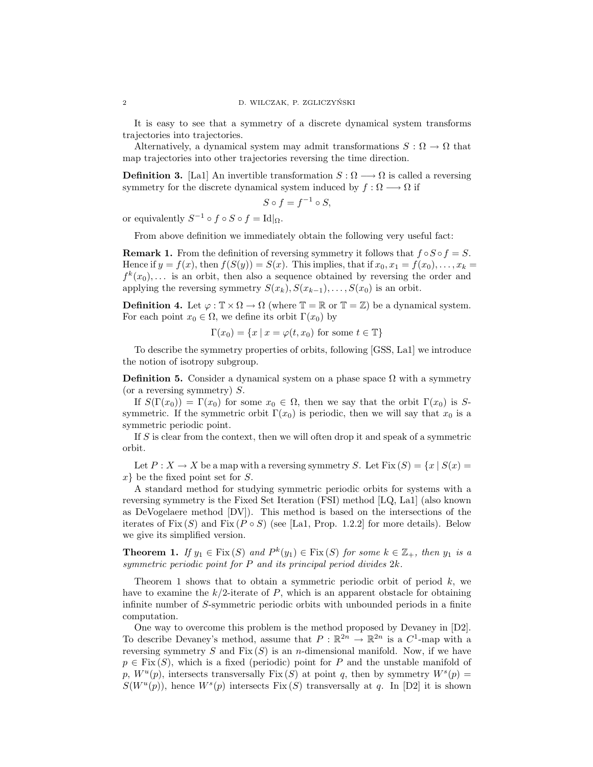It is easy to see that a symmetry of a discrete dynamical system transforms trajectories into trajectories.

Alternatively, a dynamical system may admit transformations  $S : \Omega \to \Omega$  that map trajectories into other trajectories reversing the time direction.

**Definition 3.** [La1] An invertible transformation  $S : \Omega \longrightarrow \Omega$  is called a reversing symmetry for the discrete dynamical system induced by  $f : \Omega \longrightarrow \Omega$  if

$$
S \circ f = f^{-1} \circ S,
$$

or equivalently  $S^{-1} \circ f \circ S \circ f = Id|_{\Omega}$ .

From above definition we immediately obtain the following very useful fact:

**Remark 1.** From the definition of reversing symmetry it follows that  $f \circ S \circ f = S$ . Hence if  $y = f(x)$ , then  $f(S(y)) = S(x)$ . This implies, that if  $x_0, x_1 = f(x_0), \ldots, x_k =$  $f^k(x_0),...$  is an orbit, then also a sequence obtained by reversing the order and applying the reversing symmetry  $S(x_k), S(x_{k-1}), \ldots, S(x_0)$  is an orbit.

**Definition 4.** Let  $\varphi : \mathbb{T} \times \Omega \to \Omega$  (where  $\mathbb{T} = \mathbb{R}$  or  $\mathbb{T} = \mathbb{Z}$ ) be a dynamical system. For each point  $x_0 \in \Omega$ , we define its orbit  $\Gamma(x_0)$  by

$$
\Gamma(x_0) = \{x \mid x = \varphi(t, x_0) \text{ for some } t \in \mathbb{T}\}\
$$

To describe the symmetry properties of orbits, following [GSS, La1] we introduce the notion of isotropy subgroup.

**Definition 5.** Consider a dynamical system on a phase space  $\Omega$  with a symmetry (or a reversing symmetry)  $S$ .

If  $S(\Gamma(x_0)) = \Gamma(x_0)$  for some  $x_0 \in \Omega$ , then we say that the orbit  $\Gamma(x_0)$  is Ssymmetric. If the symmetric orbit  $\Gamma(x_0)$  is periodic, then we will say that  $x_0$  is a symmetric periodic point.

If  $S$  is clear from the context, then we will often drop it and speak of a symmetric orbit.

Let  $P: X \to X$  be a map with a reversing symmetry S. Let  $Fix(S) = \{x \mid S(x) = x\}$  $x\}$  be the fixed point set for S.

A standard method for studying symmetric periodic orbits for systems with a reversing symmetry is the Fixed Set Iteration (FSI) method [LQ, La1] (also known as DeVogelaere method [DV]). This method is based on the intersections of the iterates of Fix  $(S)$  and Fix  $(P \circ S)$  (see [La1, Prop. 1.2.2] for more details). Below we give its simplified version.

**Theorem 1.** If  $y_1 \in Fix(S)$  and  $P^k(y_1) \in Fix(S)$  for some  $k \in \mathbb{Z}_+$ , then  $y_1$  is a symmetric periodic point for P and its principal period divides 2k.

Theorem 1 shows that to obtain a symmetric periodic orbit of period  $k$ , we have to examine the  $k/2$ -iterate of P, which is an apparent obstacle for obtaining infinite number of S-symmetric periodic orbits with unbounded periods in a finite computation.

One way to overcome this problem is the method proposed by Devaney in [D2]. To describe Devaney's method, assume that  $P : \mathbb{R}^{2n} \to \mathbb{R}^{2n}$  is a  $C^1$ -map with a reversing symmetry S and Fix  $(S)$  is an *n*-dimensional manifold. Now, if we have  $p \in Fix(S)$ , which is a fixed (periodic) point for P and the unstable manifold of p,  $W^u(p)$ , intersects transversally Fix (S) at point q, then by symmetry  $W^s(p)$  =  $S(W^u(p))$ , hence  $W^s(p)$  intersects  $Fix(S)$  transversally at q. In [D2] it is shown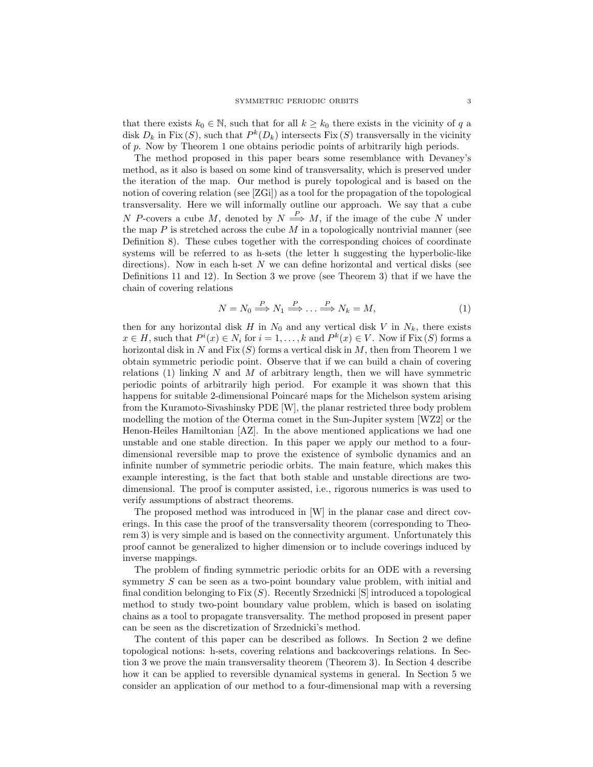that there exists  $k_0 \in \mathbb{N}$ , such that for all  $k \geq k_0$  there exists in the vicinity of q a disk  $D_k$  in Fix  $(S)$ , such that  $P^k(D_k)$  intersects Fix  $(S)$  transversally in the vicinity of p. Now by Theorem 1 one obtains periodic points of arbitrarily high periods.

The method proposed in this paper bears some resemblance with Devaney's method, as it also is based on some kind of transversality, which is preserved under the iteration of the map. Our method is purely topological and is based on the notion of covering relation (see [ZGi]) as a tool for the propagation of the topological transversality. Here we will informally outline our approach. We say that a cube N P-covers a cube M, denoted by  $N \stackrel{P}{\Longrightarrow} M$ , if the image of the cube N under the map  $P$  is stretched across the cube  $M$  in a topologically nontrivial manner (see Definition 8). These cubes together with the corresponding choices of coordinate systems will be referred to as h-sets (the letter h suggesting the hyperbolic-like directions). Now in each h-set  $N$  we can define horizontal and vertical disks (see Definitions 11 and 12). In Section 3 we prove (see Theorem 3) that if we have the chain of covering relations

$$
N = N_0 \stackrel{P}{\Longrightarrow} N_1 \stackrel{P}{\Longrightarrow} \dots \stackrel{P}{\Longrightarrow} N_k = M,\tag{1}
$$

then for any horizontal disk H in  $N_0$  and any vertical disk V in  $N_k$ , there exists  $x \in H$ , such that  $P^i(x) \in N_i$  for  $i = 1, ..., k$  and  $P^k(x) \in V$ . Now if Fix  $(S)$  forms a horizontal disk in N and  $Fix(S)$  forms a vertical disk in M, then from Theorem 1 we obtain symmetric periodic point. Observe that if we can build a chain of covering relations (1) linking  $N$  and  $M$  of arbitrary length, then we will have symmetric periodic points of arbitrarily high period. For example it was shown that this happens for suitable 2-dimensional Poincaré maps for the Michelson system arising from the Kuramoto-Sivashinsky PDE [W], the planar restricted three body problem modelling the motion of the Oterma comet in the Sun-Jupiter system [WZ2] or the Henon-Heiles Hamiltonian [AZ]. In the above mentioned applications we had one unstable and one stable direction. In this paper we apply our method to a fourdimensional reversible map to prove the existence of symbolic dynamics and an infinite number of symmetric periodic orbits. The main feature, which makes this example interesting, is the fact that both stable and unstable directions are twodimensional. The proof is computer assisted, i.e., rigorous numerics is was used to verify assumptions of abstract theorems.

The proposed method was introduced in [W] in the planar case and direct coverings. In this case the proof of the transversality theorem (corresponding to Theorem 3) is very simple and is based on the connectivity argument. Unfortunately this proof cannot be generalized to higher dimension or to include coverings induced by inverse mappings.

The problem of finding symmetric periodic orbits for an ODE with a reversing symmetry S can be seen as a two-point boundary value problem, with initial and final condition belonging to  $Fix(S)$ . Recently Srzednicki [S] introduced a topological method to study two-point boundary value problem, which is based on isolating chains as a tool to propagate transversality. The method proposed in present paper can be seen as the discretization of Srzednicki's method.

The content of this paper can be described as follows. In Section 2 we define topological notions: h-sets, covering relations and backcoverings relations. In Section 3 we prove the main transversality theorem (Theorem 3). In Section 4 describe how it can be applied to reversible dynamical systems in general. In Section 5 we consider an application of our method to a four-dimensional map with a reversing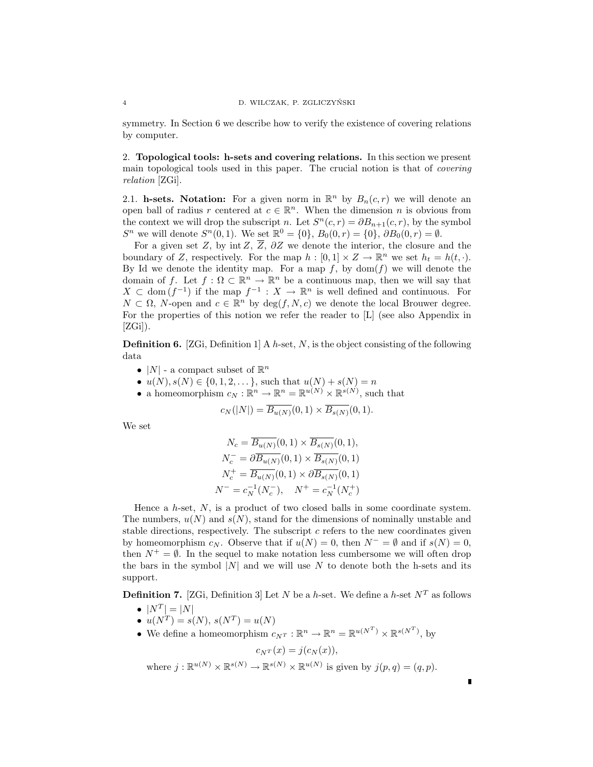symmetry. In Section 6 we describe how to verify the existence of covering relations by computer.

2. Topological tools: h-sets and covering relations. In this section we present main topological tools used in this paper. The crucial notion is that of covering relation [ZGi].

2.1. h-sets. Notation: For a given norm in  $\mathbb{R}^n$  by  $B_n(c,r)$  we will denote an open ball of radius r centered at  $c \in \mathbb{R}^n$ . When the dimension n is obvious from the context we will drop the subscript n. Let  $S<sup>n</sup>(c,r) = \partial B_{n+1}(c,r)$ , by the symbol  $S^n$  we will denote  $S^n(0,1)$ . We set  $\mathbb{R}^0 = \{0\}, B_0(0,r) = \{0\}, \partial B_0(0,r) = \emptyset$ .

For a given set Z, by int Z,  $\overline{Z}$ ,  $\partial Z$  we denote the interior, the closure and the boundary of Z, respectively. For the map  $h : [0,1] \times Z \to \mathbb{R}^n$  we set  $h_t = h(t, \cdot)$ . By Id we denote the identity map. For a map f, by  $dom(f)$  we will denote the domain of f. Let  $f: \Omega \subset \mathbb{R}^n \to \mathbb{R}^n$  be a continuous map, then we will say that  $X \subset \text{dom}(f^{-1})$  if the map  $f^{-1}: X \to \mathbb{R}^n$  is well defined and continuous. For  $N \subset \Omega$ , N-open and  $c \in \mathbb{R}^n$  by  $\deg(f, N, c)$  we denote the local Brouwer degree. For the properties of this notion we refer the reader to [L] (see also Appendix in  $[ZGi]$ ).

**Definition 6.** [ZGi, Definition 1] A h-set, N, is the object consisting of the following data

- |N| a compact subset of  $\mathbb{R}^n$
- $u(N), s(N) \in \{0, 1, 2, \dots\}$ , such that  $u(N) + s(N) = n$
- a homeomorphism  $c_N : \mathbb{R}^n \to \mathbb{R}^n = \mathbb{R}^{u(N)} \times \mathbb{R}^{s(N)}$ , such that

$$
c_N(|N|) = \overline{B_{u(N)}}(0,1) \times \overline{B_{s(N)}}(0,1).
$$

We set

$$
N_c = \overline{B_{u(N)}}(0,1) \times \overline{B_{s(N)}}(0,1),
$$
  
\n
$$
N_c^- = \partial \overline{B_{u(N)}}(0,1) \times \overline{B_{s(N)}}(0,1)
$$
  
\n
$$
N_c^+ = \overline{B_{u(N)}}(0,1) \times \partial \overline{B_{s(N)}}(0,1)
$$
  
\n
$$
N^- = c_N^{-1}(N_c^-), \quad N^+ = c_N^{-1}(N_c^+)
$$

Hence a  $h$ -set,  $N$ , is a product of two closed balls in some coordinate system. The numbers,  $u(N)$  and  $s(N)$ , stand for the dimensions of nominally unstable and stable directions, respectively. The subscript  $c$  refers to the new coordinates given by homeomorphism  $c_N$ . Observe that if  $u(N) = 0$ , then  $N^- = \emptyset$  and if  $s(N) = 0$ , then  $N^+ = \emptyset$ . In the sequel to make notation less cumbersome we will often drop the bars in the symbol  $|N|$  and we will use N to denote both the h-sets and its support.

**Definition 7.** [ZGi, Definition 3] Let N be a h-set. We define a h-set  $N<sup>T</sup>$  as follows

- $|N^T| = |N|$
- $u(N^T) = s(N), s(N^T) = u(N)$
- We define a homeomorphism  $c_{N^T}: \mathbb{R}^n \to \mathbb{R}^n = \mathbb{R}^{u(N^T)} \times \mathbb{R}^{s(N^T)}$ , by

 $c_{N^{T}}(x) = j(c_{N}(x)),$ 

 $\blacksquare$ 

where  $j : \mathbb{R}^{u(N)} \times \mathbb{R}^{s(N)} \to \mathbb{R}^{s(N)} \times \mathbb{R}^{u(N)}$  is given by  $j(p,q) = (q,p)$ .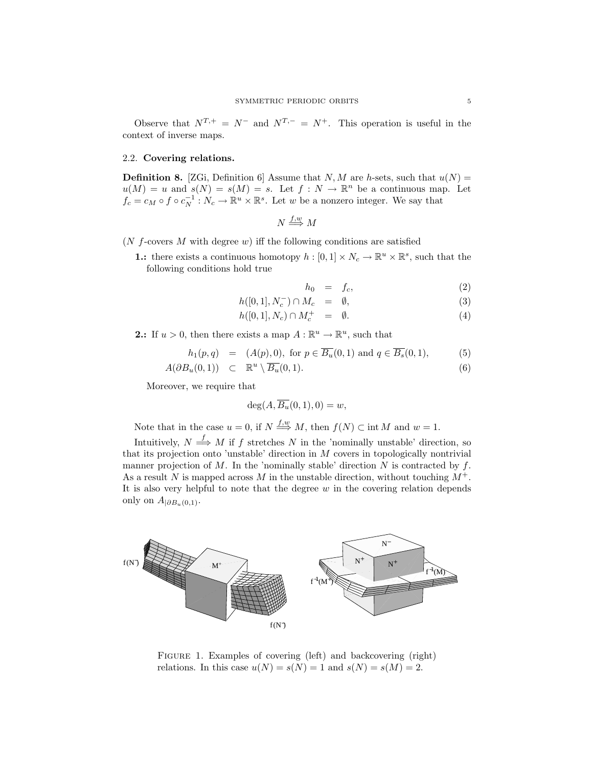Observe that  $N^{T,+} = N^-$  and  $N^{T,-} = N^+$ . This operation is useful in the context of inverse maps.

### 2.2. Covering relations.

**Definition 8.** [ZGi, Definition 6] Assume that  $N, M$  are h-sets, such that  $u(N)$  =  $u(M) = u$  and  $s(N) = s(M) = s$ . Let  $f: N \to \mathbb{R}^n$  be a continuous map. Let  $f_c = c_M \circ f \circ c_N^{-1} : N_c \to \mathbb{R}^u \times \mathbb{R}^s$ . Let w be a nonzero integer. We say that

$$
N \stackrel{f,w}{\Longrightarrow} M
$$

( $N$  f-covers  $M$  with degree  $w$ ) iff the following conditions are satisfied

**1.:** there exists a continuous homotopy  $h : [0,1] \times N_c \to \mathbb{R}^u \times \mathbb{R}^s$ , such that the following conditions hold true

$$
h_0 = f_c, \tag{2}
$$

$$
h([0,1], N_c^-) \cap M_c = \emptyset, \tag{3}
$$
  

$$
h([0,1], N_c) \cap M^+ = \emptyset \tag{4}
$$

$$
h([0,1], N_c) \cap M_c^+ = \emptyset. \tag{4}
$$

**2.:** If  $u > 0$ , then there exists a map  $A : \mathbb{R}^u \to \mathbb{R}^u$ , such that

$$
h_1(p,q) = (A(p), 0), \text{ for } p \in \overline{B_u}(0,1) \text{ and } q \in \overline{B_s}(0,1),
$$
 (5)

$$
A(\partial B_u(0,1)) \quad \subset \quad \mathbb{R}^u \setminus \overline{B_u}(0,1). \tag{6}
$$

Moreover, we require that

$$
\deg(A, \overline{B_u}(0,1), 0) = w,
$$

Note that in the case  $u = 0$ , if  $N \stackrel{f,w}{\Longrightarrow} M$ , then  $f(N) \subset \text{int } M$  and  $w = 1$ .

Intuitively,  $N \stackrel{f}{\Longrightarrow} M$  if f stretches N in the 'nominally unstable' direction, so that its projection onto 'unstable' direction in M covers in topologically nontrivial manner projection of M. In the 'nominally stable' direction  $N$  is contracted by  $f$ . As a result N is mapped across M in the unstable direction, without touching  $M^+$ . It is also very helpful to note that the degree  $w$  in the covering relation depends only on  $A_{|\partial B_u(0,1)}$ .



FIGURE 1. Examples of covering (left) and backcovering (right) relations. In this case  $u(N) = s(N) = 1$  and  $s(N) = s(M) = 2$ .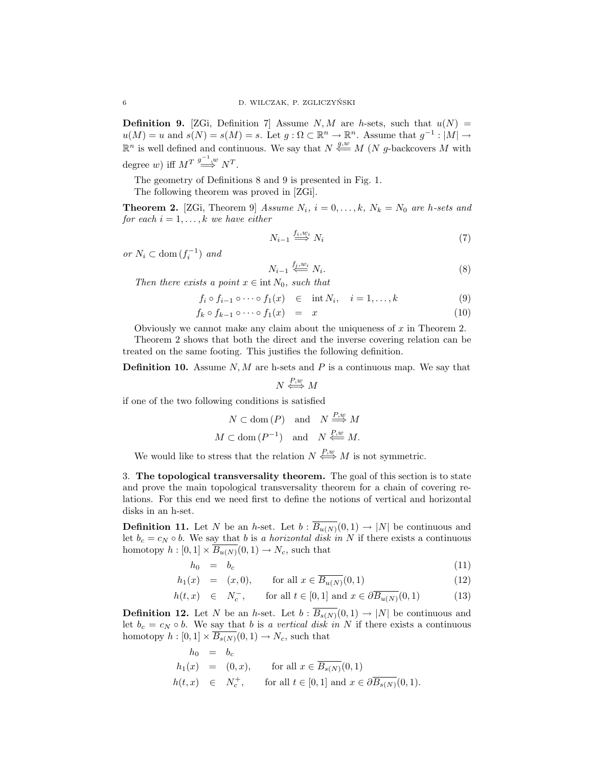**Definition 9.** [ZGi, Definition 7] Assume N, M are h-sets, such that  $u(N) =$  $u(M) = u$  and  $s(N) = s(M) = s$ . Let  $g: \Omega \subset \mathbb{R}^n \to \mathbb{R}^n$ . Assume that  $g^{-1}: |M| \to$  $\mathbb{R}^n$  is well defined and continuous. We say that  $N \stackrel{g,w}{\longleftarrow} M$  (N g-backcovers M with degree w) iff  $M^T \stackrel{g^{-1},w}{\Longrightarrow} N^T$ .

The geometry of Definitions 8 and 9 is presented in Fig. 1.

The following theorem was proved in [ZGi].

**Theorem 2.** [ZGi, Theorem 9] Assume  $N_i$ ,  $i = 0, \ldots, k$ ,  $N_k = N_0$  are h-sets and for each  $i = 1, \ldots, k$  we have either

$$
N_{i-1} \stackrel{f_i, w_i}{\Longrightarrow} N_i \tag{7}
$$

or  $N_i \subset \text{dom}(f_i^{-1})$  and

$$
N_{i-1} \overset{f_i, w_i}{\leftarrow} N_i. \tag{8}
$$

Then there exists a point  $x \in \text{int } N_0$ , such that

 $f_i \circ f_{i-1} \circ \cdots \circ f_1(x) \in \text{int } N_i, \quad i = 1, ..., k$  (9)

$$
f_k \circ f_{k-1} \circ \cdots \circ f_1(x) = x \tag{10}
$$

Obviously we cannot make any claim about the uniqueness of  $x$  in Theorem 2.

Theorem 2 shows that both the direct and the inverse covering relation can be treated on the same footing. This justifies the following definition.

**Definition 10.** Assume  $N, M$  are h-sets and  $P$  is a continuous map. We say that

$$
N \xleftrightarrow{P,w} M
$$

if one of the two following conditions is satisfied

$$
N \subset \text{dom}(P)
$$
 and  $N \stackrel{P,w}{\Longrightarrow} M$   
 $M \subset \text{dom}(P^{-1})$  and  $N \stackrel{P,w}{\Longleftarrow} M$ .

We would like to stress that the relation  $N \leftrightarrow M$  is not symmetric.

3. The topological transversality theorem. The goal of this section is to state and prove the main topological transversality theorem for a chain of covering relations. For this end we need first to define the notions of vertical and horizontal disks in an h-set.

**Definition 11.** Let N be an h-set. Let  $b : \overline{B_{u(N)}}(0,1) \to |N|$  be continuous and let  $b_c = c_N \circ b$ . We say that b is a horizontal disk in N if there exists a continuous homotopy  $h : [0,1] \times \overline{B_{u(N)}}(0,1) \to N_c$ , such that

$$
h_0 = b_c \tag{11}
$$

$$
h_1(x) = (x, 0), \qquad \text{for all } x \in \overline{B_{u(N)}}(0, 1) \tag{12}
$$

$$
h(t,x) \in N_c^-, \quad \text{for all } t \in [0,1] \text{ and } x \in \partial \overline{B_{u(N)}}(0,1) \tag{13}
$$

**Definition 12.** Let N be an h-set. Let  $b : \overline{B_{s(N)}}(0,1) \to |N|$  be continuous and let  $b_c = c_N \circ b$ . We say that b is a vertical disk in N if there exists a continuous homotopy  $h : [0,1] \times \overline{B_{s(N)}}(0,1) \to N_c$ , such that

$$
h_0 = b_c
$$
  
\n
$$
h_1(x) = (0, x), \quad \text{for all } x \in \overline{B_{s(N)}}(0, 1)
$$
  
\n
$$
h(t, x) \in N_c^+, \quad \text{for all } t \in [0, 1] \text{ and } x \in \partial \overline{B_{s(N)}}(0, 1).
$$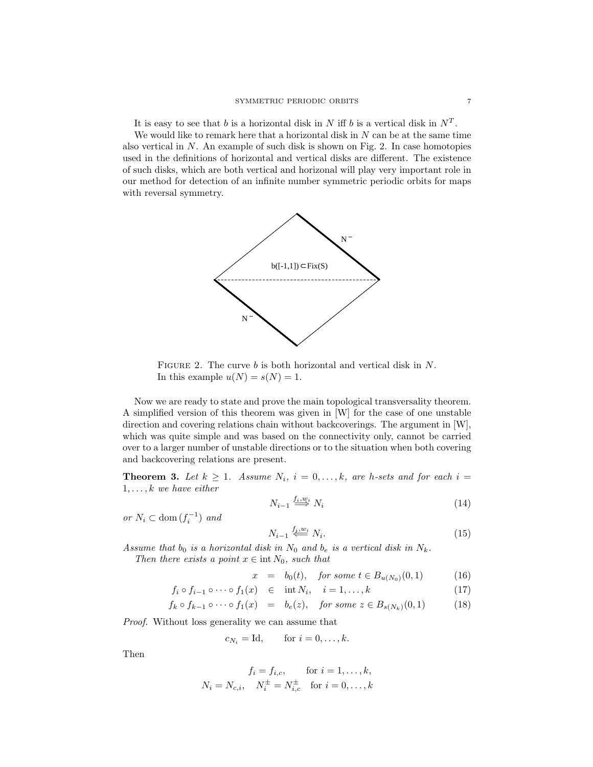It is easy to see that b is a horizontal disk in N iff b is a vertical disk in  $N<sup>T</sup>$ .

We would like to remark here that a horizontal disk in  $N$  can be at the same time also vertical in  $N$ . An example of such disk is shown on Fig. 2. In case homotopies used in the definitions of horizontal and vertical disks are different. The existence of such disks, which are both vertical and horizonal will play very important role in our method for detection of an infinite number symmetric periodic orbits for maps with reversal symmetry.



FIGURE 2. The curve b is both horizontal and vertical disk in N. In this example  $u(N) = s(N) = 1$ .

Now we are ready to state and prove the main topological transversality theorem. A simplified version of this theorem was given in [W] for the case of one unstable direction and covering relations chain without backcoverings. The argument in [W], which was quite simple and was based on the connectivity only, cannot be carried over to a larger number of unstable directions or to the situation when both covering and backcovering relations are present.

**Theorem 3.** Let  $k \geq 1$ . Assume  $N_i$ ,  $i = 0, \ldots, k$ , are h-sets and for each  $i =$  $1, \ldots, k$  we have either

$$
N_{i-1} \stackrel{f_i, w_i}{\Longrightarrow} N_i \tag{14}
$$

or  $N_i \subset \text{dom}(f_i^{-1})$  and

 $f_i \circ$ 

$$
N_{i-1} \stackrel{f_i, w_i}{\leftarrow} N_i. \tag{15}
$$

Assume that  $b_0$  is a horizontal disk in  $N_0$  and  $b_e$  is a vertical disk in  $N_k$ . Then there exists a point  $x \in \text{int } N_0$ , such that

$$
x = b_0(t), \quad \text{for some } t \in B_{u(N_0)}(0,1) \tag{16}
$$

$$
f_{i-1} \circ \cdots \circ f_1(x) \quad \in \quad \text{int } N_i, \quad i = 1, \dots, k \tag{17}
$$

$$
f_k \circ f_{k-1} \circ \cdots \circ f_1(x) = b_e(z), \quad \text{for some } z \in B_{s(N_k)}(0,1) \tag{18}
$$

Proof. Without loss generality we can assume that

$$
c_{N_i} = \text{Id}, \qquad \text{for } i = 0, \dots, k.
$$

Then

$$
f_i = f_{i,c}, \quad \text{for } i = 1, ..., k,
$$
  

$$
N_i = N_{c,i}, \quad N_i^{\pm} = N_{i,c}^{\pm} \quad \text{for } i = 0, ..., k
$$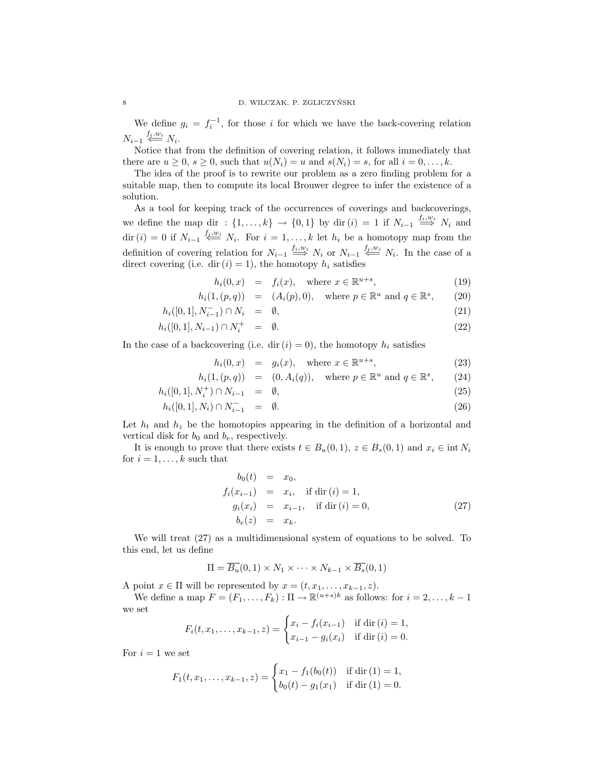We define  $g_i = f_i^{-1}$ , for those i for which we have the back-covering relation  $N_{i-1} \stackrel{f_i,w_i}{\longleftarrow} N_i.$ 

Notice that from the definition of covering relation, it follows immediately that there are  $u \geq 0$ ,  $s \geq 0$ , such that  $u(N_i) = u$  and  $s(N_i) = s$ , for all  $i = 0, \ldots, k$ .

The idea of the proof is to rewrite our problem as a zero finding problem for a suitable map, then to compute its local Brouwer degree to infer the existence of a solution.

As a tool for keeping track of the occurrences of coverings and backcoverings, we define the map dir :  $\{1,\ldots,k\} \rightarrow \{0,1\}$  by dir  $(i) = 1$  if  $N_{i-1} \stackrel{f_i,w_i}{\Longrightarrow} N_i$  and dir  $(i) = 0$  if  $N_{i-1} \stackrel{f_i, w_i}{\longleftarrow} N_i$ . For  $i = 1, \ldots, k$  let  $h_i$  be a homotopy map from the definition of covering relation for  $N_{i-1} \stackrel{f_i,w_i}{\Longrightarrow} N_i$  or  $N_{i-1} \stackrel{f_i,w_i}{\Longleftarrow} N_i$ . In the case of a direct covering (i.e. dir  $(i) = 1$ ), the homotopy  $h_i$  satisfies

$$
h_i(0, x) = f_i(x), \quad \text{where } x \in \mathbb{R}^{u+s}, \tag{19}
$$

$$
h_i(1,(p,q)) = (A_i(p),0), \text{ where } p \in \mathbb{R}^u \text{ and } q \in \mathbb{R}^s, \qquad (20)
$$

$$
h_i([0,1], N_{i-1}^-) \cap N_i = \emptyset, \tag{21}
$$

$$
h_i([0,1], N_{i-1}) \cap N_i^+ = \emptyset. \tag{22}
$$

In the case of a backcovering (i.e. dir  $(i) = 0$ ), the homotopy  $h_i$  satisfies

$$
h_i(0, x) = g_i(x), \quad \text{where } x \in \mathbb{R}^{u+s}, \tag{23}
$$

$$
h_i(1,(p,q)) = (0, A_i(q)), \text{ where } p \in \mathbb{R}^u \text{ and } q \in \mathbb{R}^s, \qquad (24)
$$

$$
h_i([0,1], N_i^+) \cap N_{i-1} = \emptyset, \tag{25}
$$

$$
h_i([0,1], N_i) \cap N_{i-1}^- = \emptyset. \tag{26}
$$

Let  $h_t$  and  $h_z$  be the homotopies appearing in the definition of a horizontal and vertical disk for  $b_0$  and  $b_e$ , respectively.

It is enough to prove that there exists  $t \in B_u(0,1)$ ,  $z \in B_s(0,1)$  and  $x_i \in \text{int } N_i$ for  $i = 1, \ldots, k$  such that

$$
b_0(t) = x_0,
$$
  
\n
$$
f_i(x_{i-1}) = x_i, \text{ if } \text{dir}(i) = 1,
$$
  
\n
$$
g_i(x_i) = x_{i-1}, \text{ if } \text{dir}(i) = 0,
$$
  
\n
$$
b_e(z) = x_k.
$$
\n(27)

We will treat (27) as a multidimensional system of equations to be solved. To this end, let us define

$$
\Pi = \overline{B_u}(0,1) \times N_1 \times \cdots \times N_{k-1} \times \overline{B_s}(0,1)
$$

A point  $x \in \Pi$  will be represented by  $x = (t, x_1, \ldots, x_{k-1}, z)$ .

We define a map  $F = (F_1, \ldots, F_k) : \Pi \to \mathbb{R}^{(u+s)k}$  as follows: for  $i = 2, \ldots, k-1$ we set

$$
F_i(t, x_1, \dots, x_{k-1}, z) = \begin{cases} x_i - f_i(x_{i-1}) & \text{if } \text{dir}(i) = 1, \\ x_{i-1} - g_i(x_i) & \text{if } \text{dir}(i) = 0. \end{cases}
$$

For  $i = 1$  we set

$$
F_1(t, x_1, \dots, x_{k-1}, z) = \begin{cases} x_1 - f_1(b_0(t)) & \text{if } \text{dir}(1) = 1, \\ b_0(t) - g_1(x_1) & \text{if } \text{dir}(1) = 0. \end{cases}
$$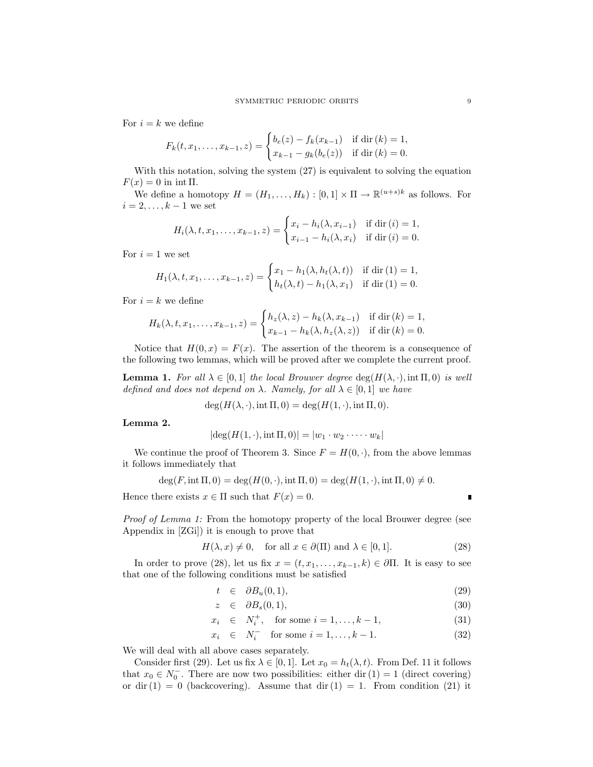For  $i = k$  we define

$$
F_k(t, x_1, \dots, x_{k-1}, z) = \begin{cases} b_e(z) - f_k(x_{k-1}) & \text{if } \text{dir}(k) = 1, \\ x_{k-1} - g_k(b_e(z)) & \text{if } \text{dir}(k) = 0. \end{cases}
$$

With this notation, solving the system  $(27)$  is equivalent to solving the equation  $F(x) = 0$  in int  $\Pi$ .

We define a homotopy  $H = (H_1, \ldots, H_k) : [0,1] \times \Pi \to \mathbb{R}^{(u+s)k}$  as follows. For  $i = 2, \ldots, k - 1$  we set

$$
H_i(\lambda, t, x_1, \dots, x_{k-1}, z) = \begin{cases} x_i - h_i(\lambda, x_{i-1}) & \text{if } \text{dir}(i) = 1, \\ x_{i-1} - h_i(\lambda, x_i) & \text{if } \text{dir}(i) = 0. \end{cases}
$$

For  $i = 1$  we set

$$
H_1(\lambda, t, x_1, \dots, x_{k-1}, z) = \begin{cases} x_1 - h_1(\lambda, h_t(\lambda, t)) & \text{if } \text{dir}(1) = 1, \\ h_t(\lambda, t) - h_1(\lambda, x_1) & \text{if } \text{dir}(1) = 0. \end{cases}
$$

For  $i = k$  we define

$$
H_k(\lambda, t, x_1, \dots, x_{k-1}, z) = \begin{cases} h_z(\lambda, z) - h_k(\lambda, x_{k-1}) & \text{if } \text{dir}(k) = 1, \\ x_{k-1} - h_k(\lambda, h_z(\lambda, z)) & \text{if } \text{dir}(k) = 0. \end{cases}
$$

Notice that  $H(0, x) = F(x)$ . The assertion of the theorem is a consequence of the following two lemmas, which will be proved after we complete the current proof.

**Lemma 1.** For all  $\lambda \in [0,1]$  the local Brouwer degree  $\deg(H(\lambda, \cdot), \text{int } \Pi, 0)$  is well defined and does not depend on  $\lambda$ . Namely, for all  $\lambda \in [0,1]$  we have

 $deg(H(\lambda, \cdot), \text{int }\Pi, 0) = deg(H(1, \cdot), \text{int }\Pi, 0).$ 

Lemma 2.

$$
|\deg(H(1,\cdot),\text{int}\,\Pi,0)|=|w_1\cdot w_2\cdot\cdots\cdot w_k|
$$

We continue the proof of Theorem 3. Since  $F = H(0, \cdot)$ , from the above lemmas it follows immediately that

$$
\deg(F, \text{int } \Pi, 0) = \deg(H(0, \cdot), \text{int } \Pi, 0) = \deg(H(1, \cdot), \text{int } \Pi, 0) \neq 0.
$$

Hence there exists  $x \in \Pi$  such that  $F(x) = 0$ .

Proof of Lemma 1: From the homotopy property of the local Brouwer degree (see Appendix in [ZGi]) it is enough to prove that

$$
H(\lambda, x) \neq 0, \quad \text{for all } x \in \partial(\Pi) \text{ and } \lambda \in [0, 1]. \tag{28}
$$

In order to prove (28), let us fix  $x = (t, x_1, \ldots, x_{k-1}, k) \in \partial \Pi$ . It is easy to see that one of the following conditions must be satisfied

$$
t \in \partial B_u(0,1), \tag{29}
$$

$$
z \in \partial B_s(0,1), \tag{30}
$$

$$
x_i \in N_i^+, \text{ for some } i = 1, ..., k - 1,
$$
 (31)

 $x_i \in N_i^-$  for some  $i = 1, ..., k - 1$ . (32)

We will deal with all above cases separately.

Consider first (29). Let us fix  $\lambda \in [0,1]$ . Let  $x_0 = h_t(\lambda, t)$ . From Def. 11 it follows that  $x_0 \in N_0^-$ . There are now two possibilities: either dir  $(1) = 1$  (direct covering) or dir  $(1) = 0$  (backcovering). Assume that dir  $(1) = 1$ . From condition  $(21)$  it

Ľ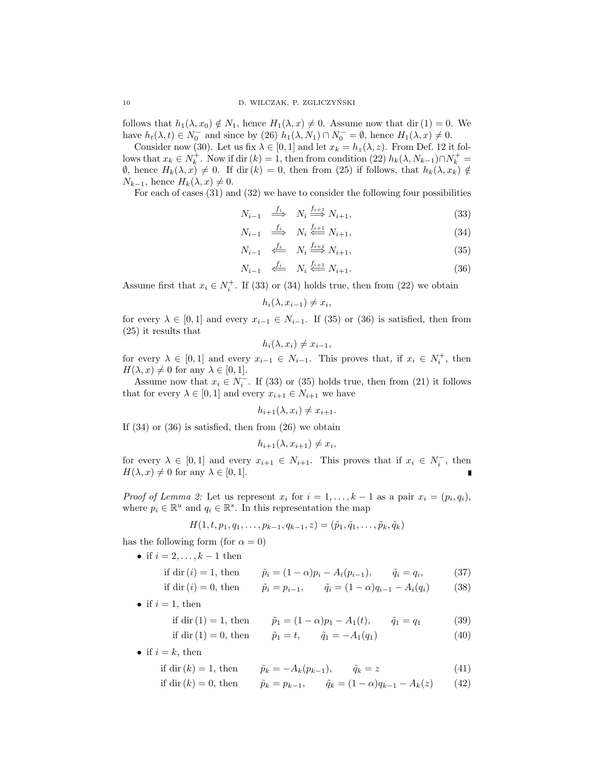follows that  $h_1(\lambda, x_0) \notin N_1$ , hence  $H_1(\lambda, x) \neq 0$ . Assume now that dir (1) = 0. We have  $h_t(\lambda, t) \in N_0^-$  and since by (26)  $h_1(\lambda, N_1) \cap N_0^- = \emptyset$ , hence  $H_1(\lambda, x) \neq 0$ .

Consider now (30). Let us fix  $\lambda \in [0, 1]$  and let  $x_k = h_z(\lambda, z)$ . From Def. 12 it follows that  $x_k \in N_k^+$ . Now if dir  $(k) = 1$ , then from condition  $(22)$   $h_k(\lambda, N_{k-1}) \cap N_k^+$  $\emptyset$ , hence  $H_k(\lambda, x) \neq 0$ . If dir  $(k) = 0$ , then from (25) if follows, that  $h_k(\lambda, x_k) \notin$  $N_{k-1}$ , hence  $H_k(\lambda, x) \neq 0$ .

For each of cases (31) and (32) we have to consider the following four possibilities

$$
N_{i-1} \stackrel{f_i}{\implies} N_i \stackrel{f_{i+1}}{\implies} N_{i+1},\tag{33}
$$

$$
N_{i-1} \stackrel{f_i}{\implies} N_i \stackrel{f_{i+1}}{\Longleftarrow} N_{i+1},\tag{34}
$$

$$
N_{i-1} \stackrel{f_i}{\iff} N_i \stackrel{f_{i+1}}{\Longrightarrow} N_{i+1},\tag{35}
$$

$$
N_{i-1} \stackrel{f_i}{\longleftarrow} N_i \stackrel{f_{i+1}}{\longleftarrow} N_{i+1}.\tag{36}
$$

Assume first that  $x_i \in N_i^+$ . If (33) or (34) holds true, then from (22) we obtain

$$
h_i(\lambda, x_{i-1}) \neq x_i,
$$

for every  $\lambda \in [0,1]$  and every  $x_{i-1} \in N_{i-1}$ . If (35) or (36) is satisfied, then from (25) it results that

$$
h_i(\lambda, x_i) \neq x_{i-1},
$$

for every  $\lambda \in [0,1]$  and every  $x_{i-1} \in N_{i-1}$ . This proves that, if  $x_i \in N_i^+$ , then  $H(\lambda, x) \neq 0$  for any  $\lambda \in [0, 1].$ 

Assume now that  $x_i \in N_i^-$ . If (33) or (35) holds true, then from (21) it follows that for every  $\lambda \in [0,1]$  and every  $x_{i+1} \in N_{i+1}$  we have

$$
h_{i+1}(\lambda, x_i) \neq x_{i+1}.
$$

If  $(34)$  or  $(36)$  is satisfied, then from  $(26)$  we obtain

$$
h_{i+1}(\lambda, x_{i+1}) \neq x_i,
$$

for every  $\lambda \in [0,1]$  and every  $x_{i+1} \in N_{i+1}$ . This proves that if  $x_i \in N_i^-$ , then  $H(\lambda, x) \neq 0$  for any  $\lambda \in [0, 1]$ .

*Proof of Lemma 2:* Let us represent  $x_i$  for  $i = 1, ..., k - 1$  as a pair  $x_i = (p_i, q_i)$ , where  $p_i \in \mathbb{R}^u$  and  $q_i \in \mathbb{R}^s$ . In this representation the map

$$
H(1, t, p_1, q_1, \ldots, p_{k-1}, q_{k-1}, z) = (\tilde{p}_1, \tilde{q}_1, \ldots, \tilde{p}_k, \tilde{q}_k)
$$

has the following form (for  $\alpha = 0$ )

• if  $i = 2, \ldots, k - 1$  then

if dir 
$$
(i) = 1
$$
, then  $\tilde{p}_i = (1 - \alpha)p_i - A_i(p_{i-1}), \qquad \tilde{q}_i = q_i,$  (37)

if dir 
$$
(i) = 0
$$
, then  $\tilde{p}_i = p_{i-1}$ ,  $\tilde{q}_i = (1 - \alpha)q_{i-1} - A_i(q_i)$  (38)

• if  $i = 1$ , then

if dir (1) = 1, then 
$$
\tilde{p}_1 = (1 - \alpha)p_1 - A_1(t), \qquad \tilde{q}_1 = q_1
$$
 (39)

if dir (1) = 0, then 
$$
\tilde{p}_1 = t
$$
,  $\tilde{q}_1 = -A_1(q_1)$  (40)

• if  $i = k$ , then

if dir 
$$
(k) = 1
$$
, then  $\tilde{p}_k = -A_k(p_{k-1}), \qquad \tilde{q}_k = z$  (41)

if dir 
$$
(k) = 0
$$
, then  $\tilde{p}_k = p_{k-1}$ ,  $\tilde{q}_k = (1 - \alpha)q_{k-1} - A_k(z)$  (42)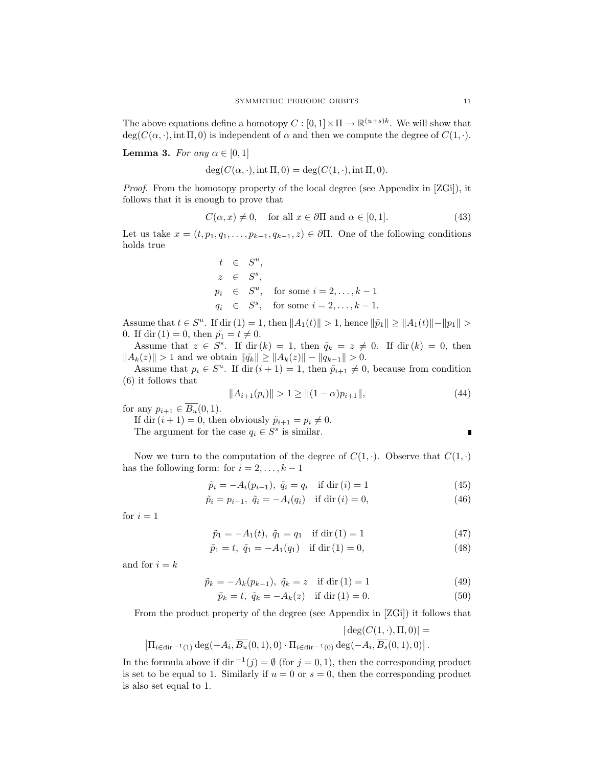The above equations define a homotopy  $C : [0,1] \times \Pi \to \mathbb{R}^{(u+s)k}$ . We will show that  $deg(C(\alpha, \cdot), int \Pi, 0)$  is independent of  $\alpha$  and then we compute the degree of  $C(1, \cdot)$ .

**Lemma 3.** For any  $\alpha \in [0, 1]$ 

 $deg(C(\alpha, \cdot), int \Pi, 0) = deg(C(1, \cdot), int \Pi, 0).$ 

*Proof.* From the homotopy property of the local degree (see Appendix in  $[ZG_i]$ ), it follows that it is enough to prove that

$$
C(\alpha, x) \neq 0, \quad \text{for all } x \in \partial \Pi \text{ and } \alpha \in [0, 1]. \tag{43}
$$

Let us take  $x = (t, p_1, q_1, \ldots, p_{k-1}, q_{k-1}, z) \in \partial \Pi$ . One of the following conditions holds true

$$
t \in S^u,
$$
  
\n
$$
z \in S^s,
$$
  
\n
$$
p_i \in S^u,
$$
 for some  $i = 2, ..., k-1$   
\n
$$
q_i \in S^s,
$$
 for some  $i = 2, ..., k-1$ .

Assume that  $t \in S^u$ . If dir (1) = 1, then  $||A_1(t)|| > 1$ , hence  $||\tilde{p}_1|| \ge ||A_1(t)|| - ||p_1|| >$ 0. If dir (1) = 0, then  $\tilde{p}_1 = t \neq 0$ .

Assume that  $z \in S^s$ . If dir  $(k) = 1$ , then  $\tilde{q}_k = z \neq 0$ . If dir  $(k) = 0$ , then  $||A_k(z)|| > 1$  and we obtain  $||\tilde{q_k}|| \ge ||A_k(z)|| - ||q_{k-1}|| > 0.$ 

Assume that  $p_i \in S^u$ . If dir  $(i + 1) = 1$ , then  $\tilde{p}_{i+1} \neq 0$ , because from condition (6) it follows that

$$
||A_{i+1}(p_i)|| > 1 \ge ||(1-\alpha)p_{i+1}||,
$$
\n(44)

for any  $p_{i+1} \in \overline{B_u}(0,1)$ .

If dir  $(i + 1) = 0$ , then obviously  $\tilde{p}_{i+1} = p_i \neq 0$ .

The argument for the case  $q_i \in S^s$  is similar.

Now we turn to the computation of the degree of  $C(1, \cdot)$ . Observe that  $C(1, \cdot)$ has the following form: for  $i = 2, \ldots, k - 1$ 

$$
\tilde{p}_i = -A_i(p_{i-1}), \ \tilde{q}_i = q_i \quad \text{if } \text{dir}(i) = 1 \tag{45}
$$

$$
\tilde{p}_i = p_{i-1}, \ \tilde{q}_i = -A_i(q_i) \quad \text{if } \text{dir}(i) = 0,
$$
\n(46)

for  $i = 1$ 

$$
\tilde{p}_1 = -A_1(t), \ \tilde{q}_1 = q_1 \quad \text{if } \text{dir}(1) = 1 \tag{47}
$$

$$
\tilde{p}_1 = t, \ \tilde{q}_1 = -A_1(q_1) \quad \text{if } \text{dir}(1) = 0,
$$
\n(48)

and for  $i = k$ 

$$
\tilde{p}_k = -A_k(p_{k-1}), \ \tilde{q}_k = z \quad \text{if } \text{dir}(1) = 1 \tag{49}
$$

$$
\tilde{p}_k = t, \ \tilde{q}_k = -A_k(z) \quad \text{if } \text{dir}(1) = 0. \tag{50}
$$

From the product property of the degree (see Appendix in [ZGi]) it follows that

$$
|\deg(C(1,\cdot),\Pi,0)| =
$$
  

$$
|\Pi_{i \in \text{dir}^{-1}(1)} \deg(-A_i, \overline{B_u}(0,1),0) \cdot \Pi_{i \in \text{dir}^{-1}(0)} \deg(-A_i, \overline{B_s}(0,1),0)|.
$$

In the formula above if dir  $^{-1}(j) = \emptyset$  (for  $j = 0, 1$ ), then the corresponding product is set to be equal to 1. Similarly if  $u = 0$  or  $s = 0$ , then the corresponding product is also set equal to 1.

 $\blacksquare$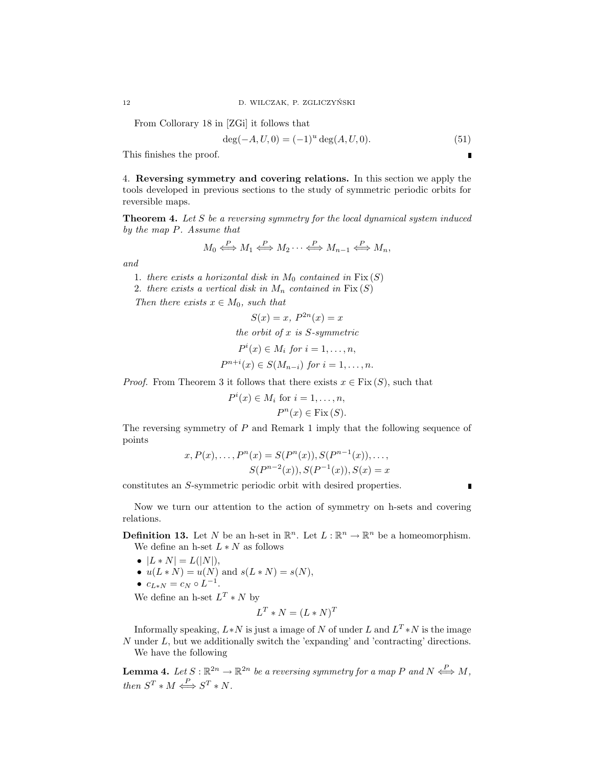From Collorary 18 in [ZGi] it follows that

$$
\deg(-A, U, 0) = (-1)^u \deg(A, U, 0). \tag{51}
$$

This finishes the proof.

4. Reversing symmetry and covering relations. In this section we apply the tools developed in previous sections to the study of symmetric periodic orbits for reversible maps.

Theorem 4. Let S be a reversing symmetry for the local dynamical system induced by the map P. Assume that

$$
M_0 \xleftrightarrow{\!\!\!\!\!\!\!\!\!\!\!\!\!\ {}^{\scriptstyle P}} M_1 \xleftrightarrow{\!\!\!\!\!\!\!\!\!\!\!\!\ {}^{\scriptstyle P}} M_2 \cdots \xleftrightarrow{\!\!\!\!\!\!\!\!\!\!\!\!\!\!\!\!\ {}^{\scriptstyle P}} M_{n-1} \xleftrightarrow{\!\!\!\!\!\!\!\!\!\!\!\ {}^{\scriptstyle P}} M_n,
$$

and

- 1. there exists a horizontal disk in  $M_0$  contained in  $Fix(S)$
- 2. there exists a vertical disk in  $M_n$  contained in  $Fix(S)$

Then there exists  $x \in M_0$ , such that

$$
S(x) = x, P^{2n}(x) = x
$$
  
the orbit of x is S-symmetric  

$$
P^{i}(x) \in M_{i} \text{ for } i = 1, ..., n,
$$

$$
P^{n+i}(x) \in S(M_{n-i}) \text{ for } i = 1, ..., n.
$$

*Proof.* From Theorem 3 it follows that there exists  $x \in Fix(S)$ , such that

$$
P^{i}(x) \in M_{i} \text{ for } i = 1, ..., n,
$$
  

$$
P^{n}(x) \in \text{Fix}(S).
$$

The reversing symmetry of P and Remark 1 imply that the following sequence of points

$$
x, P(x), \dots, P^{n}(x) = S(P^{n}(x)), S(P^{n-1}(x)), \dots,
$$
  

$$
S(P^{n-2}(x)), S(P^{-1}(x)), S(x) = x
$$

constitutes an S-symmetric periodic orbit with desired properties.

п

Now we turn our attention to the action of symmetry on h-sets and covering relations.

**Definition 13.** Let N be an h-set in  $\mathbb{R}^n$ . Let  $L : \mathbb{R}^n \to \mathbb{R}^n$  be a homeomorphism. We define an h-set  $L*N$  as follows

- $|L * N| = L(|N|),$
- $u(L*N) = u(N)$  and  $s(L*N) = s(N)$ ,
- $c_{L*N} = c_N \circ L^{-1}.$

We define an h-set  $L^T * N$  by

$$
L^T * N = (L * N)^T
$$

Informally speaking,  $L*N$  is just a image of N of under L and  $L^T*N$  is the image N under L, but we additionally switch the 'expanding' and 'contracting' directions. We have the following

**Lemma 4.** Let  $S : \mathbb{R}^{2n} \to \mathbb{R}^{2n}$  be a reversing symmetry for a map P and  $N \stackrel{P}{\iff} M$ , then  $S^T * M \stackrel{P}{\iff} S^T * N$ .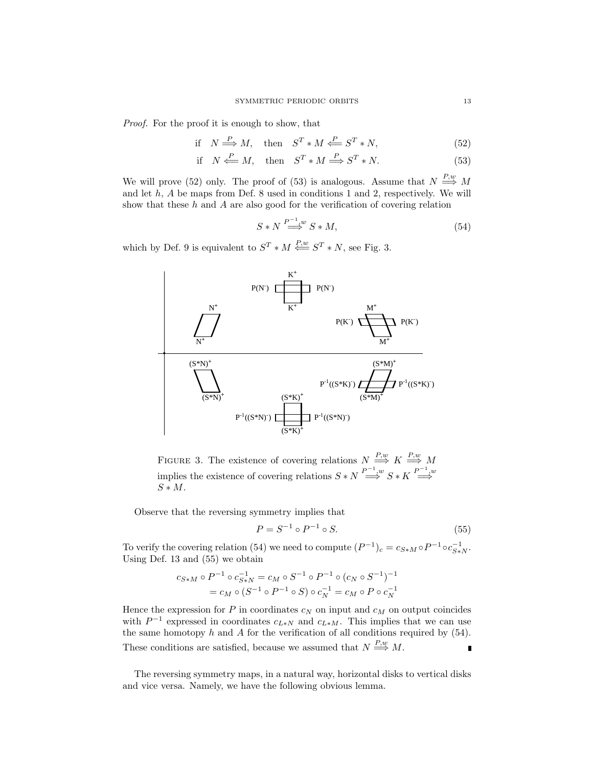Proof. For the proof it is enough to show, that

$$
\text{if } N \stackrel{P}{\Longrightarrow} M, \quad \text{then } S^T * M \stackrel{P}{\Longleftarrow} S^T * N, \tag{52}
$$

$$
\text{if } N \stackrel{P}{\Longleftarrow} M, \text{ then } S^T * M \stackrel{P}{\Longrightarrow} S^T * N. \tag{53}
$$

We will prove (52) only. The proof of (53) is analogous. Assume that  $N \stackrel{P,w}{\Longrightarrow} M$ and let  $h$ ,  $A$  be maps from Def. 8 used in conditions 1 and 2, respectively. We will show that these h and A are also good for the verification of covering relation

$$
S*N \stackrel{P^{-1},w}{\Longrightarrow} S*M,
$$
\n(54)

which by Def. 9 is equivalent to  $S^T * M \stackrel{P,w}{\Longleftarrow} S^T * N$ , see Fig. 3.



FIGURE 3. The existence of covering relations  $N \stackrel{P,w}{\Longrightarrow} K \stackrel{P,w}{\Longrightarrow} M$ implies the existence of covering relations  $S*N \overset{P^{-1},w}{\Longrightarrow} S*K \overset{P^{-1},w}{\Longrightarrow}$  $S * M$ .

Observe that the reversing symmetry implies that

$$
P = S^{-1} \circ P^{-1} \circ S.
$$
 (55)

To verify the covering relation (54) we need to compute  $(P^{-1})_c = c_{S*M} \circ P^{-1} \circ c_{S*N}^{-1}$ . Using Def. 13 and (55) we obtain

$$
c_{S*M} \circ P^{-1} \circ c_{S*N}^{-1} = c_M \circ S^{-1} \circ P^{-1} \circ (c_N \circ S^{-1})^{-1}
$$
  
=  $c_M \circ (S^{-1} \circ P^{-1} \circ S) \circ c_N^{-1} = c_M \circ P \circ c_N^{-1}$ 

Hence the expression for  $P$  in coordinates  $c_N$  on input and  $c_M$  on output coincides with  $P^{-1}$  expressed in coordinates  $c_{L*N}$  and  $c_{L*M}$ . This implies that we can use the same homotopy  $h$  and  $A$  for the verification of all conditions required by  $(54)$ . These conditions are satisfied, because we assumed that  $N \stackrel{P,w}{\Longrightarrow} M$ .

The reversing symmetry maps, in a natural way, horizontal disks to vertical disks and vice versa. Namely, we have the following obvious lemma.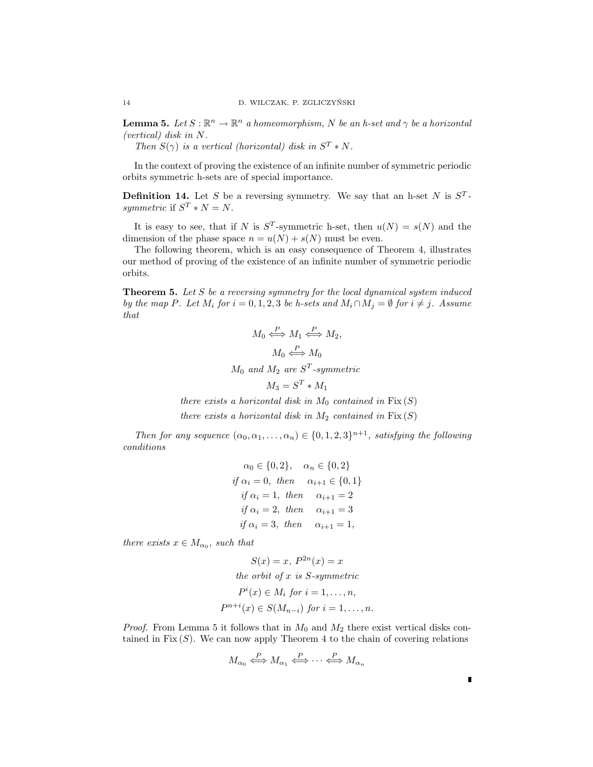**Lemma 5.** Let  $S : \mathbb{R}^n \to \mathbb{R}^n$  a homeomorphism, N be an h-set and  $\gamma$  be a horizontal (vertical) disk in N.

Then  $S(\gamma)$  is a vertical (horizontal) disk in  $S^T * N$ .

In the context of proving the existence of an infinite number of symmetric periodic orbits symmetric h-sets are of special importance.

**Definition 14.** Let S be a reversing symmetry. We say that an h-set N is  $S<sup>T</sup>$ . symmetric if  $S^T * N = N$ .

It is easy to see, that if N is  $S<sup>T</sup>$ -symmetric h-set, then  $u(N) = s(N)$  and the dimension of the phase space  $n = u(N) + s(N)$  must be even.

The following theorem, which is an easy consequence of Theorem 4, illustrates our method of proving of the existence of an infinite number of symmetric periodic orbits.

**Theorem 5.** Let S be a reversing symmetry for the local dynamical system induced by the map P. Let  $M_i$  for  $i = 0, 1, 2, 3$  be h-sets and  $M_i \cap M_j = \emptyset$  for  $i \neq j$ . Assume that

$$
M_0 \stackrel{P}{\iff} M_1 \stackrel{P}{\iff} M_2,
$$
  
\n
$$
M_0 \stackrel{P}{\iff} M_0
$$
  
\n
$$
M_0 \text{ and } M_2 \text{ are } S^T\text{-symmetric}
$$
  
\n
$$
M_3 = S^T * M_1
$$

there exists a horizontal disk in  $M_0$  contained in  $Fix(S)$ 

there exists a horizontal disk in  $M_2$  contained in  $Fix(S)$ 

Then for any sequence  $(\alpha_0, \alpha_1, \ldots, \alpha_n) \in \{0, 1, 2, 3\}^{n+1}$ , satisfying the following conditions

$$
\alpha_0 \in \{0, 2\}, \quad \alpha_n \in \{0, 2\}
$$
  
if  $\alpha_i = 0$ , then  $\alpha_{i+1} \in \{0, 1\}$   
if  $\alpha_i = 1$ , then  $\alpha_{i+1} = 2$   
if  $\alpha_i = 2$ , then  $\alpha_{i+1} = 3$   
if  $\alpha_i = 3$ , then  $\alpha_{i+1} = 1$ ,

there exists  $x \in M_{\alpha_0}$ , such that

$$
S(x) = x, P^{2n}(x) = x
$$
  
the orbit of x is S-symmetric  

$$
P^{i}(x) \in M_{i} \text{ for } i = 1, ..., n,
$$

$$
P^{n+i}(x) \in S(M_{n-i}) \text{ for } i = 1, ..., n.
$$

*Proof.* From Lemma 5 it follows that in  $M_0$  and  $M_2$  there exist vertical disks contained in Fix  $(S)$ . We can now apply Theorem 4 to the chain of covering relations

$$
M_{\alpha_0} \xleftrightarrow{\hspace{-.65em}P} M_{\alpha_1} \xleftrightarrow{\hspace{-.65em}P} \cdots \xleftrightarrow{\hspace{-.65em}P} M_{\alpha_n}
$$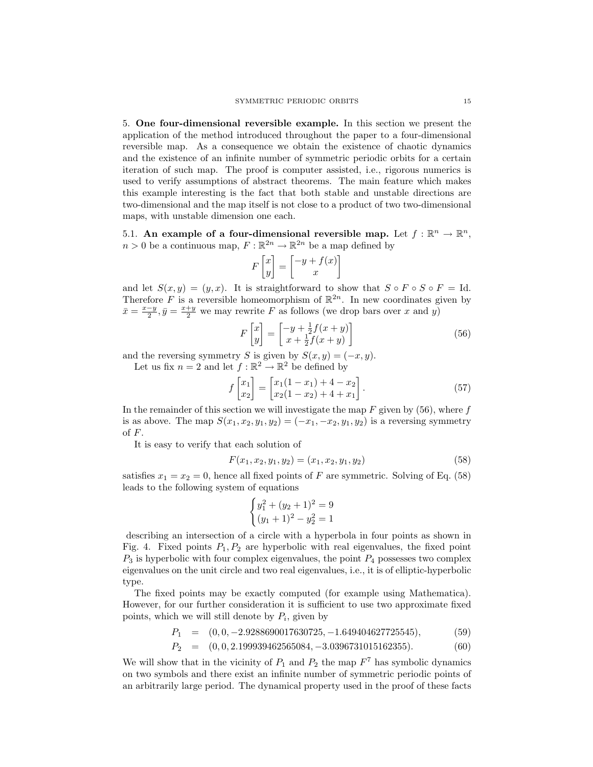5. One four-dimensional reversible example. In this section we present the application of the method introduced throughout the paper to a four-dimensional reversible map. As a consequence we obtain the existence of chaotic dynamics and the existence of an infinite number of symmetric periodic orbits for a certain iteration of such map. The proof is computer assisted, i.e., rigorous numerics is used to verify assumptions of abstract theorems. The main feature which makes this example interesting is the fact that both stable and unstable directions are two-dimensional and the map itself is not close to a product of two two-dimensional maps, with unstable dimension one each.

5.1. An example of a four-dimensional reversible map. Let  $f: \mathbb{R}^n \to \mathbb{R}^n$ ,  $n > 0$  be a continuous map,  $F : \mathbb{R}^{2n} \to \mathbb{R}^{2n}$  be a map defined by

$$
F\begin{bmatrix} x \\ y \end{bmatrix} = \begin{bmatrix} -y + f(x) \\ x \end{bmatrix}
$$

and let  $S(x, y) = (y, x)$ . It is straightforward to show that  $S \circ F \circ S \circ F = Id$ . Therefore F is a reversible homeomorphism of  $\mathbb{R}^{2n}$ . In new coordinates given by  $\bar{x} = \frac{x-y}{2}, \bar{y} = \frac{x+y}{2}$  we may rewrite F as follows (we drop bars over x and y)

$$
F\begin{bmatrix} x \\ y \end{bmatrix} = \begin{bmatrix} -y + \frac{1}{2}f(x+y) \\ x + \frac{1}{2}f(x+y) \end{bmatrix}
$$
 (56)

and the reversing symmetry S is given by  $S(x, y) = (-x, y)$ .

Let us fix  $n = 2$  and let  $f : \mathbb{R}^2 \to \mathbb{R}^2$  be defined by

$$
f\begin{bmatrix} x_1 \\ x_2 \end{bmatrix} = \begin{bmatrix} x_1(1-x_1) + 4 - x_2 \\ x_2(1-x_2) + 4 + x_1 \end{bmatrix}.
$$
 (57)

In the remainder of this section we will investigate the map  $F$  given by (56), where  $f$ is as above. The map  $S(x_1, x_2, y_1, y_2) = (-x_1, -x_2, y_1, y_2)$  is a reversing symmetry of F.

It is easy to verify that each solution of

$$
F(x_1, x_2, y_1, y_2) = (x_1, x_2, y_1, y_2)
$$
\n<sup>(58)</sup>

satisfies  $x_1 = x_2 = 0$ , hence all fixed points of F are symmetric. Solving of Eq. (58) leads to the following system of equations  $\frac{1}{2}$ 

$$
\begin{cases} y_1^2 + (y_2 + 1)^2 = 9\\ (y_1 + 1)^2 - y_2^2 = 1 \end{cases}
$$

describing an intersection of a circle with a hyperbola in four points as shown in Fig. 4. Fixed points  $P_1, P_2$  are hyperbolic with real eigenvalues, the fixed point  $P_3$  is hyperbolic with four complex eigenvalues, the point  $P_4$  possesses two complex eigenvalues on the unit circle and two real eigenvalues, i.e., it is of elliptic-hyperbolic type.

The fixed points may be exactly computed (for example using Mathematica). However, for our further consideration it is sufficient to use two approximate fixed points, which we will still denote by  $P_i$ , given by

$$
P_1 = (0, 0, -2.9288690017630725, -1.649404627725545),
$$
  
\n
$$
P_2 = (0, 0, 2, 100020462565084, 2, 0206721015162255),
$$
  
\n(60)

$$
P_2 = (0, 0, 2.199939462565084, -3.0396731015162355). \tag{60}
$$

We will show that in the vicinity of  $P_1$  and  $P_2$  the map  $F<sup>7</sup>$  has symbolic dynamics on two symbols and there exist an infinite number of symmetric periodic points of an arbitrarily large period. The dynamical property used in the proof of these facts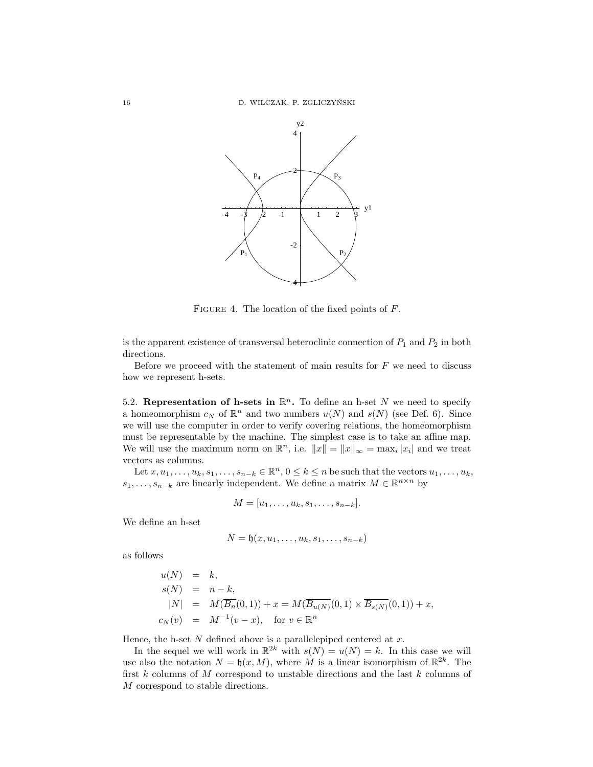16 D. WILCZAK, P. ZGLICZYŃSKI



FIGURE 4. The location of the fixed points of  $F$ .

is the apparent existence of transversal heteroclinic connection of  $P_1$  and  $P_2$  in both directions.

Before we proceed with the statement of main results for  $F$  we need to discuss how we represent h-sets.

5.2. Representation of h-sets in  $\mathbb{R}^n$ . To define an h-set N we need to specify a homeomorphism  $c_N$  of  $\mathbb{R}^n$  and two numbers  $u(N)$  and  $s(N)$  (see Def. 6). Since we will use the computer in order to verify covering relations, the homeomorphism must be representable by the machine. The simplest case is to take an affine map. We will use the maximum norm on  $\mathbb{R}^n$ , i.e.  $||x|| = ||x||_{\infty} = \max_i |x_i|$  and we treat vectors as columns.

Let  $x, u_1, \ldots, u_k, s_1, \ldots, s_{n-k} \in \mathbb{R}^n$ ,  $0 \le k \le n$  be such that the vectors  $u_1, \ldots, u_k$ ,  $s_1, \ldots, s_{n-k}$  are linearly independent. We define a matrix  $M \in \mathbb{R}^{n \times n}$  by

$$
M=[u_1,\ldots,u_k,s_1,\ldots,s_{n-k}].
$$

We define an h-set

$$
N = \mathfrak{h}(x, u_1, \dots, u_k, s_1, \dots, s_{n-k})
$$

as follows

$$
u(N) = k,
$$
  
\n
$$
s(N) = n - k,
$$
  
\n
$$
|N| = M(\overline{B_n}(0,1)) + x = M(\overline{B_{u(N)}}(0,1) \times \overline{B_{s(N)}}(0,1)) + x,
$$
  
\n
$$
c_N(v) = M^{-1}(v-x), \text{ for } v \in \mathbb{R}^n
$$

Hence, the h-set  $N$  defined above is a parallelepiped centered at  $x$ .

In the sequel we will work in  $\mathbb{R}^{2k}$  with  $s(N) = u(N) = k$ . In this case we will use also the notation  $N = \mathfrak{h}(x, M)$ , where M is a linear isomorphism of  $\mathbb{R}^{2k}$ . The first  $k$  columns of  $M$  correspond to unstable directions and the last  $k$  columns of M correspond to stable directions.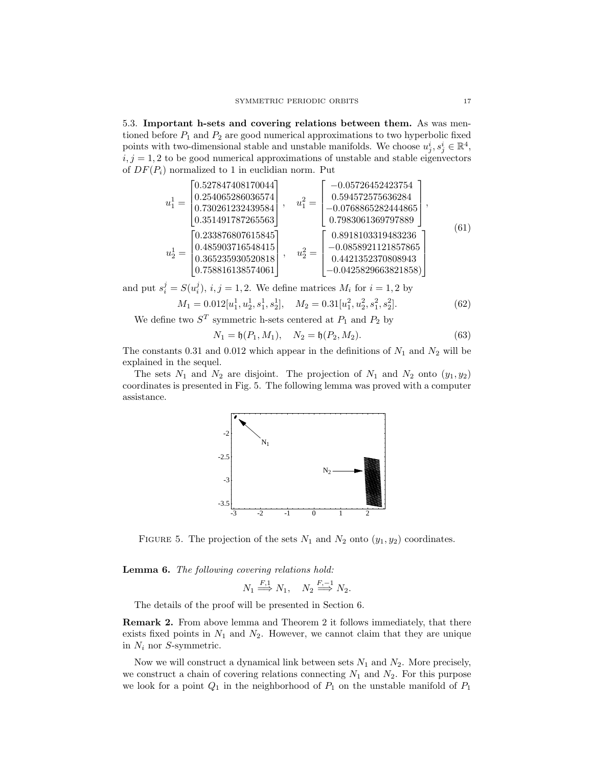5.3. Important h-sets and covering relations between them. As was mentioned before  $P_1$  and  $P_2$  are good numerical approximations to two hyperbolic fixed points with two-dimensional stable and unstable manifolds. We choose  $u_j^i, s_j^i \in \mathbb{R}^4$ ,  $i, j = 1, 2$  to be good numerical approximations of unstable and stable eigenvectors of  $DF(P_i)$  normalized to 1 in euclidian norm. Put

$$
u_1^1 = \begin{bmatrix} 0.527847408170044 \\ 0.254065286036574 \\ 0.730261232439584 \\ 0.351491787265563 \end{bmatrix}, \quad u_1^2 = \begin{bmatrix} -0.05726452423754 \\ 0.594572575636284 \\ -0.0768865282444865 \\ 0.7983061369797889 \end{bmatrix},
$$
  
\n
$$
u_2^1 = \begin{bmatrix} 0.233876807615845 \\ 0.485903716548415 \\ 0.365235930520818 \\ 0.758816138574061 \end{bmatrix}, \quad u_2^2 = \begin{bmatrix} 0.8918103319483236 \\ -0.0858921121857865 \\ 0.4421352370808943 \\ -0.0425829663821858 \end{bmatrix}
$$
(61)

and put  $s_i^j = S(u_i^j), i, j = 1, 2$ . We define matrices  $M_i$  for  $i = 1, 2$  by

$$
M_1 = 0.012[u_1^1, u_2^1, s_1^1, s_2^1], \quad M_2 = 0.31[u_1^2, u_2^2, s_1^2, s_2^2].
$$
\n
$$
(62)
$$

We define two  $S<sup>T</sup>$  symmetric h-sets centered at  $P<sub>1</sub>$  and  $P<sub>2</sub>$  by

$$
N_1 = \mathfrak{h}(P_1, M_1), \quad N_2 = \mathfrak{h}(P_2, M_2). \tag{63}
$$

The constants 0.31 and 0.012 which appear in the definitions of  $N_1$  and  $N_2$  will be explained in the sequel.

The sets  $N_1$  and  $N_2$  are disjoint. The projection of  $N_1$  and  $N_2$  onto  $(y_1, y_2)$ coordinates is presented in Fig. 5. The following lemma was proved with a computer assistance.



FIGURE 5. The projection of the sets  $N_1$  and  $N_2$  onto  $(y_1, y_2)$  coordinates.

Lemma 6. The following covering relations hold:

$$
N_1 \stackrel{F,1}{\Longrightarrow} N_1, \quad N_2 \stackrel{F,-1}{\Longrightarrow} N_2.
$$

The details of the proof will be presented in Section 6.

Remark 2. From above lemma and Theorem 2 it follows immediately, that there exists fixed points in  $N_1$  and  $N_2$ . However, we cannot claim that they are unique in  $N_i$  nor S-symmetric.

Now we will construct a dynamical link between sets  $N_1$  and  $N_2$ . More precisely, we construct a chain of covering relations connecting  $N_1$  and  $N_2$ . For this purpose we look for a point  $Q_1$  in the neighborhood of  $P_1$  on the unstable manifold of  $P_1$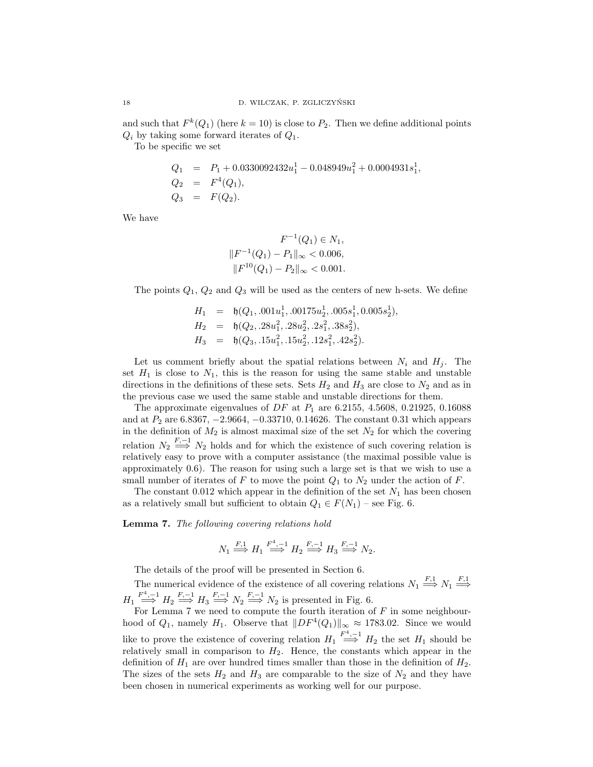and such that  $F^k(Q_1)$  (here  $k = 10$ ) is close to  $P_2$ . Then we define additional points  $Q_i$  by taking some forward iterates of  $Q_1$ .

To be specific we set

$$
Q_1 = P_1 + 0.0330092432u_1^1 - 0.048949u_1^2 + 0.0004931s_1^1,
$$
  
\n
$$
Q_2 = F^4(Q_1),
$$
  
\n
$$
Q_3 = F(Q_2).
$$

We have

$$
F^{-1}(Q_1) \in N_1,
$$
  

$$
||F^{-1}(Q_1) - P_1||_{\infty} < 0.006,
$$
  

$$
||F^{10}(Q_1) - P_2||_{\infty} < 0.001.
$$

The points  $Q_1, Q_2$  and  $Q_3$  will be used as the centers of new h-sets. We define

$$
H_1 = \mathfrak{h}(Q_1, .001u_1^1, .00175u_2^1, .005s_1^1, 0.005s_2^1),
$$
  
\n
$$
H_2 = \mathfrak{h}(Q_2, .28u_1^2, .28u_2^2, .2s_1^2, .38s_2^2),
$$
  
\n
$$
H_3 = \mathfrak{h}(Q_3, .15u_1^2, .15u_2^2, .12s_1^2, .42s_2^2).
$$

Let us comment briefly about the spatial relations between  $N_i$  and  $H_j$ . The set  $H_1$  is close to  $N_1$ , this is the reason for using the same stable and unstable directions in the definitions of these sets. Sets  $H_2$  and  $H_3$  are close to  $N_2$  and as in the previous case we used the same stable and unstable directions for them.

The approximate eigenvalues of  $DF$  at  $P_1$  are 6.2155, 4.5608, 0.21925, 0.16088 and at  $P_2$  are 6.8367,  $-2.9664$ ,  $-0.33710$ , 0.14626. The constant 0.31 which appears in the definition of  $M_2$  is almost maximal size of the set  $N_2$  for which the covering relation  $N_2 \stackrel{F,-1}{\Longrightarrow} N_2$  holds and for which the existence of such covering relation is relatively easy to prove with a computer assistance (the maximal possible value is approximately 0.6). The reason for using such a large set is that we wish to use a small number of iterates of F to move the point  $Q_1$  to  $N_2$  under the action of F.

The constant 0.012 which appear in the definition of the set  $N_1$  has been chosen as a relatively small but sufficient to obtain  $Q_1 \in F(N_1)$  – see Fig. 6.

Lemma 7. The following covering relations hold

$$
N_1 \stackrel{F,1}{\Longrightarrow} H_1 \stackrel{F^4,-1}{\Longrightarrow} H_2 \stackrel{F,-1}{\Longrightarrow} H_3 \stackrel{F,-1}{\Longrightarrow} N_2.
$$

The details of the proof will be presented in Section 6.

The numerical evidence of the existence of all covering relations  $N_1 \stackrel{F,1}{\Longrightarrow} N_1 \stackrel{F,1}{\Longrightarrow}$  $H_1 \stackrel{F^4,-1}{\Longrightarrow} H_2 \stackrel{F,-1}{\Longrightarrow} H_3 \stackrel{F,-1}{\Longrightarrow} N_2 \stackrel{F,-1}{\Longrightarrow} N_2$  is presented in Fig. 6.

For Lemma 7 we need to compute the fourth iteration of  $F$  in some neighbourhood of  $Q_1$ , namely  $H_1$ . Observe that  $||DF^4(Q_1)||_{\infty} \approx 1783.02$ . Since we would like to prove the existence of covering relation  $H_1 \stackrel{F^4,-1}{\Longrightarrow} H_2$  the set  $H_1$  should be relatively small in comparison to  $H_2$ . Hence, the constants which appear in the definition of  $H_1$  are over hundred times smaller than those in the definition of  $H_2$ . The sizes of the sets  $H_2$  and  $H_3$  are comparable to the size of  $N_2$  and they have been chosen in numerical experiments as working well for our purpose.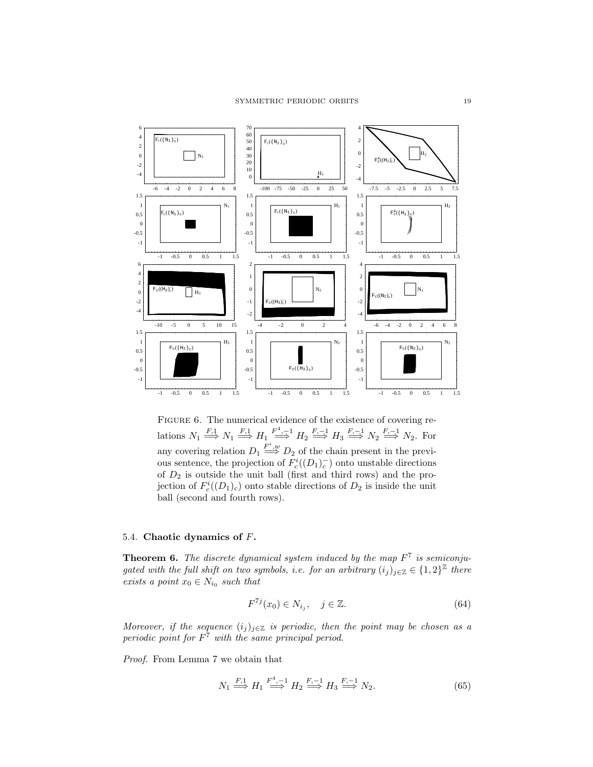

FIGURE 6. The numerical evidence of the existence of covering relations  $N_1 \stackrel{F,1}{\Longrightarrow} N_1 \stackrel{F,1}{\Longrightarrow} H_1 \stackrel{F^4,-1}{\Longrightarrow} H_2 \stackrel{F,-1}{\Longrightarrow} H_3 \stackrel{F,-1}{\Longrightarrow} N_2 \stackrel{F,-1}{\Longrightarrow} N_2.$  For any covering relation  $D_1 \stackrel{F^i,w}{\Longrightarrow} D_2$  of the chain present in the previous sentence, the projection of  $F_c^i((D_1)_c^-)$  onto unstable directions of  $D_2$  is outside the unit ball (first and third rows) and the projection of  $F_c^i((D_1)_c)$  onto stable directions of  $D_2$  is inside the unit ball (second and fourth rows).

# 5.4. Chaotic dynamics of F.

**Theorem 6.** The discrete dynamical system induced by the map  $F<sup>7</sup>$  is semiconjugated with the full shift on two symbols, i.e. for an arbitrary  $(i_j)_{j \in \mathbb{Z}} \in \{1,2\}^{\mathbb{Z}}$  there exists a point  $x_0 \in N_{i_0}$  such that

$$
F^{7j}(x_0) \in N_{i_j}, \quad j \in \mathbb{Z}.\tag{64}
$$

Moreover, if the sequence  $(i_j)_{j\in\mathbb{Z}}$  is periodic, then the point may be chosen as a periodic point for  $F<sup>7</sup>$  with the same principal period.

Proof. From Lemma 7 we obtain that

$$
N_1 \stackrel{F,1}{\Longrightarrow} H_1 \stackrel{F^4,-1}{\Longrightarrow} H_2 \stackrel{F,-1}{\Longrightarrow} H_3 \stackrel{F,-1}{\Longrightarrow} N_2. \tag{65}
$$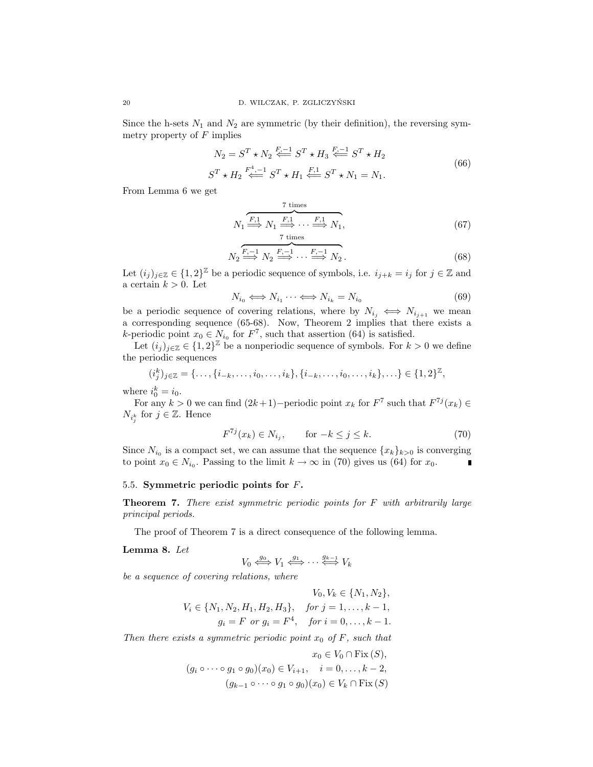Since the h-sets  $N_1$  and  $N_2$  are symmetric (by their definition), the reversing symmetry property of  $F$  implies

$$
N_2 = S^T \star N_2 \stackrel{F, -1}{\iff} S^T \star H_3 \stackrel{F, -1}{\iff} S^T \star H_2
$$
  

$$
S^T \star H_2 \stackrel{F^4, -1}{\iff} S^T \star H_1 \stackrel{F, 1}{\iff} S^T \star N_1 = N_1.
$$
 (66)

From Lemma 6 we get

$$
N_1 \stackrel{\overbrace{F,1}}{\Longrightarrow} N_1 \stackrel{\overbrace{F,1}}{\Longrightarrow} \cdots \stackrel{\overbrace{F,1}}{\Longrightarrow} N_1, \tag{67}
$$

$$
N_2 \stackrel{F, -1}{\Longrightarrow} N_2 \stackrel{F, -1}{\Longrightarrow} \cdots \stackrel{F, -1}{\Longrightarrow} N_2.
$$
 (68)

Let  $(i_j)_{j\in\mathbb{Z}}\in\{1,2\}^{\mathbb{Z}}$  be a periodic sequence of symbols, i.e.  $i_{j+k}=i_j$  for  $j\in\mathbb{Z}$  and a certain  $k > 0$ . Let

$$
N_{i_0} \iff N_{i_1} \dots \iff N_{i_k} = N_{i_0} \tag{69}
$$

be a periodic sequence of covering relations, where by  $N_{i_j} \iff N_{i_{j+1}}$  we mean a corresponding sequence (65-68). Now, Theorem 2 implies that there exists a k-periodic point  $x_0 \in N_{i_0}$  for  $F^7$ , such that assertion (64) is satisfied.

Let  $(i_j)_{j\in\mathbb{Z}}\in\{1,2\}^{\mathbb{Z}}$  be a nonperiodic sequence of symbols. For  $k>0$  we define the periodic sequences

$$
(i_j^k)_{j \in \mathbb{Z}} = \{\ldots, \{i_{-k}, \ldots, i_0, \ldots, i_k\}, \{i_{-k}, \ldots, i_0, \ldots, i_k\}, \ldots\} \in \{1, 2\}^{\mathbb{Z}},
$$

where  $i_0^k = i_0$ .

For any  $k > 0$  we can find  $(2k+1)$ –periodic point  $x_k$  for  $F^7$  such that  $F^{7j}(x_k) \in$  $N_{i_j^k}$  for  $j \in \mathbb{Z}$ . Hence

$$
F^{7j}(x_k) \in N_{i_j}, \qquad \text{for } -k \le j \le k. \tag{70}
$$

Since  $N_{i_0}$  is a compact set, we can assume that the sequence  $\{x_k\}_{k>0}$  is converging to point  $x_0 \in N_{i_0}$ . Passing to the limit  $k \to \infty$  in (70) gives us (64) for  $x_0$ .

## 5.5. Symmetric periodic points for F.

**Theorem 7.** There exist symmetric periodic points for  $F$  with arbitrarily large principal periods.

The proof of Theorem 7 is a direct consequence of the following lemma.

### Lemma 8. Let

$$
V_0 \leftrightarrow^{g_0} V_1 \leftrightarrow^{g_1} \cdots \leftrightarrow^{g_{k-1}} V_k
$$

be a sequence of covering relations, where

$$
V_0, V_k \in \{N_1, N_2\},
$$
  

$$
V_i \in \{N_1, N_2, H_1, H_2, H_3\}, \quad \text{for } j = 1, ..., k - 1,
$$
  

$$
g_i = F \text{ or } g_i = F^4, \quad \text{for } i = 0, ..., k - 1.
$$

Then there exists a symmetric periodic point  $x_0$  of F, such that

$$
x_0 \in V_0 \cap \text{Fix}(S),
$$
  
\n
$$
(g_i \circ \cdots \circ g_1 \circ g_0)(x_0) \in V_{i+1}, \quad i = 0, \dots, k-2,
$$
  
\n
$$
(g_{k-1} \circ \cdots \circ g_1 \circ g_0)(x_0) \in V_k \cap \text{Fix}(S)
$$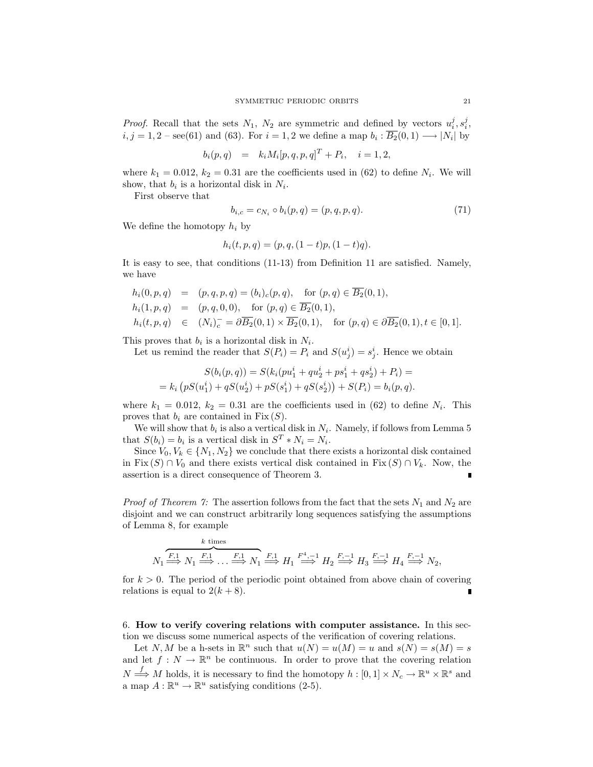*Proof.* Recall that the sets  $N_1$ ,  $N_2$  are symmetric and defined by vectors  $u_i^j$ ,  $s_i^j$ ,  $i, j = 1, 2$  – see(61) and (63). For  $i = 1, 2$  we define a map  $b_i : \overline{B_2}(0,1) \longrightarrow |N_i|$  by

$$
b_i(p,q) = k_i M_i[p,q,p,q]^T + P_i, \quad i = 1, 2,
$$

where  $k_1 = 0.012$ ,  $k_2 = 0.31$  are the coefficients used in (62) to define  $N_i$ . We will show, that  $b_i$  is a horizontal disk in  $N_i$ .

First observe that

$$
b_{i,c} = c_{N_i} \circ b_i(p,q) = (p,q,p,q). \tag{71}
$$

We define the homotopy  $h_i$  by

$$
h_i(t, p, q) = (p, q, (1-t)p, (1-t)q).
$$

It is easy to see, that conditions (11-13) from Definition 11 are satisfied. Namely, we have

$$
h_i(0, p, q) = (p, q, p, q) = (b_i)_c(p, q), \text{ for } (p, q) \in \overline{B_2}(0, 1),
$$
  
\n
$$
h_i(1, p, q) = (p, q, 0, 0), \text{ for } (p, q) \in \overline{B_2}(0, 1),
$$
  
\n
$$
h_i(t, p, q) \in (N_i)_c^- = \partial \overline{B_2}(0, 1) \times \overline{B_2}(0, 1), \text{ for } (p, q) \in \partial \overline{B_2}(0, 1), t \in [0, 1].
$$

This proves that  $b_i$  is a horizontal disk in  $N_i$ .

Let us remind the reader that  $S(P_i) = P_i$  and  $S(u_j^i) = s_j^i$ . Hence we obtain

$$
S(b_i(p,q)) = S(k_i(pu_1^i + qu_2^i + ps_1^i + qs_2^i) + P_i) =
$$
  
=  $k_i (pS(u_1^i) + qS(u_2^i) + pS(s_1^i) + qS(s_2^i)) + S(P_i) = b_i(p,q).$ 

where  $k_1 = 0.012$ ,  $k_2 = 0.31$  are the coefficients used in (62) to define  $N_i$ . This proves that  $b_i$  are contained in Fix  $(S)$ .

We will show that  $b_i$  is also a vertical disk in  $N_i$ . Namely, if follows from Lemma 5 that  $S(b_i) = b_i$  is a vertical disk in  $S^T * N_i = N_i$ .

Since  $V_0, V_k \in \{N_1, N_2\}$  we conclude that there exists a horizontal disk contained in Fix  $(S) \cap V_0$  and there exists vertical disk contained in Fix  $(S) \cap V_k$ . Now, the assertion is a direct consequence of Theorem 3.

*Proof of Theorem 7:* The assertion follows from the fact that the sets  $N_1$  and  $N_2$  are disjoint and we can construct arbitrarily long sequences satisfying the assumptions of Lemma 8, for example

k times  
\n
$$
N_1 \xrightarrow{F,1} N_1 \xrightarrow{F,1} \dots \xrightarrow{F,1} N_1 \xrightarrow{F,1} H_1 \xrightarrow{F^4,-1} H_2 \xrightarrow{F,-1} H_3 \xrightarrow{F,-1} H_4 \xrightarrow{F,-1} N_2,
$$

for  $k > 0$ . The period of the periodic point obtained from above chain of covering relations is equal to  $2(k+8)$ .  $\blacksquare$ 

6. How to verify covering relations with computer assistance. In this section we discuss some numerical aspects of the verification of covering relations.

Let N, M be a h-sets in  $\mathbb{R}^n$  such that  $u(N) = u(M) = u$  and  $s(N) = s(M) = s$ and let  $f: N \to \mathbb{R}^n$  be continuous. In order to prove that the covering relation  $N \stackrel{f}{\Longrightarrow} M$  holds, it is necessary to find the homotopy  $h : [0,1] \times N_c \to \mathbb{R}^u \times \mathbb{R}^s$  and a map  $A : \mathbb{R}^u \to \mathbb{R}^u$  satisfying conditions (2-5).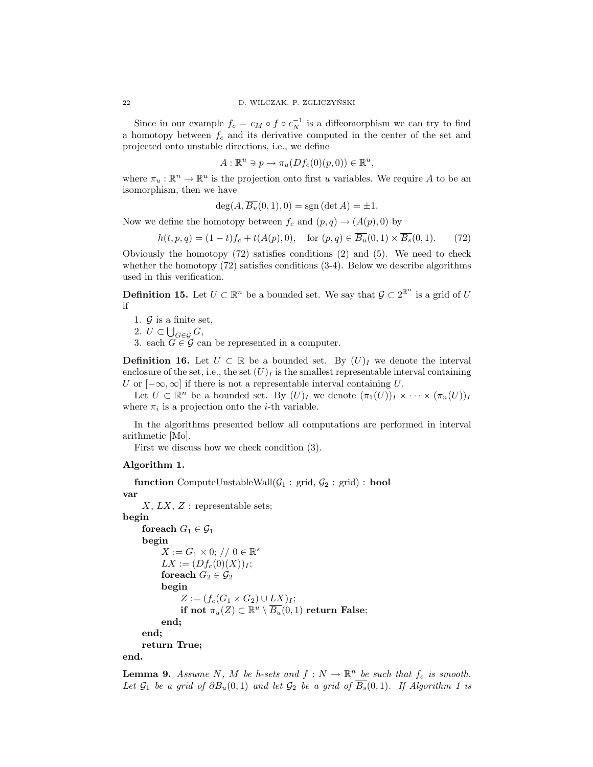Since in our example  $f_c = c_M \circ f \circ c_N^{-1}$  is a diffeomorphism we can try to find a homotopy between  $f_c$  and its derivative computed in the center of the set and projected onto unstable directions, i.e., we define

$$
A: \mathbb{R}^u \ni p \to \pi_u(Df_c(0)(p, 0)) \in \mathbb{R}^u,
$$

where  $\pi_u : \mathbb{R}^n \to \mathbb{R}^u$  is the projection onto first u variables. We require A to be an isomorphism, then we have

$$
\deg(A, \overline{B_u}(0,1), 0) = \operatorname{sgn}(\det A) = \pm 1.
$$

Now we define the homotopy between  $f_c$  and  $(p, q) \rightarrow (A(p), 0)$  by

$$
h(t, p, q) = (1 - t)f_c + t(A(p), 0), \quad \text{for } (p, q) \in \overline{B_u}(0, 1) \times \overline{B_s}(0, 1). \tag{72}
$$

Obviously the homotopy (72) satisfies conditions (2) and (5). We need to check whether the homotopy  $(72)$  satisfies conditions  $(3-4)$ . Below we describe algorithms used in this verification.

**Definition 15.** Let  $U \subset \mathbb{R}^n$  be a bounded set. We say that  $\mathcal{G} \subset 2^{\mathbb{R}^n}$  is a grid of U if

1.  $\mathcal{G}$  is a finite set,

2. 
$$
U \subset \bigcup_{G \in \mathcal{G}} G
$$
,

3. each  $G \in \mathcal{G}$  can be represented in a computer.

**Definition 16.** Let  $U \subset \mathbb{R}$  be a bounded set. By  $(U)_I$  we denote the interval enclosure of the set, i.e., the set  $(U)_I$  is the smallest representable interval containing U or  $[-\infty, \infty]$  if there is not a representable interval containing U.

Let  $U \subset \mathbb{R}^n$  be a bounded set. By  $(U)_I$  we denote  $(\pi_1(U))_I \times \cdots \times (\pi_n(U))_I$ where  $\pi_i$  is a projection onto the *i*-th variable.

In the algorithms presented bellow all computations are performed in interval arithmetic [Mo].

First we discuss how we check condition (3).

#### Algorithm 1.

**function** ComputeUnstableWall $(\mathcal{G}_1 : \text{grid}, \mathcal{G}_2 : \text{grid}) : \text{bool}$ var  $X, LX, Z:$  representable sets; begin foreach  $G_1 \in \mathcal{G}_1$ begin  $X := G_1 \times 0; // 0 \in \mathbb{R}^s$  $LX := (Df_c(0)(X))_I;$ for<br>each  $G_2 \in \mathcal{G}_2$ begin  $Z := (f_c(G_1 \times G_2) \cup LX)_I;$ if not  $\pi_u(Z) \subset \mathbb{R}^u \setminus \overline{B_u}(0,1)$  return False; end; end; return True;

end.

**Lemma 9.** Assume N, M be h-sets and  $f: N \to \mathbb{R}^n$  be such that  $f_c$  is smooth. Let  $\mathcal{G}_1$  be a grid of  $\partial B_u(0,1)$  and let  $\mathcal{G}_2$  be a grid of  $\overline{B_s}(0,1)$ . If Algorithm 1 is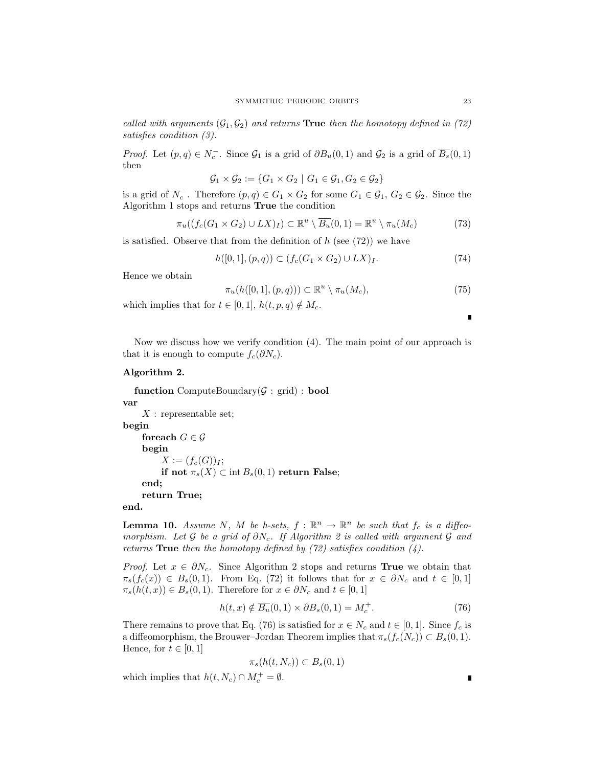called with arguments  $(\mathcal{G}_1, \mathcal{G}_2)$  and returns **True** then the homotopy defined in (72) satisfies condition (3).

*Proof.* Let  $(p, q) \in N_c^-$ . Since  $\mathcal{G}_1$  is a grid of  $\partial B_u(0, 1)$  and  $\mathcal{G}_2$  is a grid of  $\overline{B_s}(0, 1)$ then

$$
\mathcal{G}_1 \times \mathcal{G}_2 := \{ G_1 \times G_2 \mid G_1 \in \mathcal{G}_1, G_2 \in \mathcal{G}_2 \}
$$

is a grid of  $N_c^-$ . Therefore  $(p,q) \in G_1 \times G_2$  for some  $G_1 \in \mathcal{G}_1$ ,  $G_2 \in \mathcal{G}_2$ . Since the Algorithm 1 stops and returns True the condition

$$
\pi_u((f_c(G_1 \times G_2) \cup LX)_I) \subset \mathbb{R}^u \setminus \overline{B_u}(0,1) = \mathbb{R}^u \setminus \pi_u(M_c)
$$
\n(73)

is satisfied. Observe that from the definition of  $h$  (see (72)) we have

$$
h([0,1], (p,q)) \subset (f_c(G_1 \times G_2) \cup LX)_I.
$$
\n(74)

Hence we obtain

$$
\pi_u(h([0,1], (p,q))) \subset \mathbb{R}^u \setminus \pi_u(M_c),\tag{75}
$$

which implies that for  $t \in [0, 1]$ ,  $h(t, p, q) \notin M_c$ .

 $\blacksquare$ 

Now we discuss how we verify condition (4). The main point of our approach is that it is enough to compute  $f_c(\partial N_c)$ .

# Algorithm 2.

function ComputeBoundary $(\mathcal{G}: \text{grid}) : \text{bool}$ var  $X$ : representable set; begin for<br>each  $G \in \mathcal{G}$ begin  $X := (f_c(G))_I;$ if not  $\pi_s(X) \subset \text{int } B_s(0,1)$  return False; end; return True;

end.

**Lemma 10.** Assume N, M be h-sets,  $f : \mathbb{R}^n \to \mathbb{R}^n$  be such that  $f_c$  is a diffeomorphism. Let G be a grid of  $\partial N_c$ . If Algorithm 2 is called with argument G and returns **True** then the homotopy defined by  $(72)$  satisfies condition  $(4)$ .

*Proof.* Let  $x \in \partial N_c$ . Since Algorithm 2 stops and returns **True** we obtain that  $\pi_s(f_c(x)) \in B_s(0,1)$ . From Eq. (72) it follows that for  $x \in \partial N_c$  and  $t \in [0,1]$  $\pi_s(h(t, x)) \in B_s(0, 1)$ . Therefore for  $x \in \partial N_c$  and  $t \in [0, 1]$ 

$$
h(t,x) \notin \overline{B_u}(0,1) \times \partial B_s(0,1) = M_c^+.
$$
\n(76)

There remains to prove that Eq. (76) is satisfied for  $x \in N_c$  and  $t \in [0, 1]$ . Since  $f_c$  is a diffeomorphism, the Brouwer–Jordan Theorem implies that  $\pi_s(f_c(N_c)) \subset B_s(0,1)$ . Hence, for  $t \in [0,1]$ 

$$
\pi_s(h(t, N_c)) \subset B_s(0, 1)
$$

which implies that  $h(t, N_c) \cap M_c^+ = \emptyset$ .

Ľ